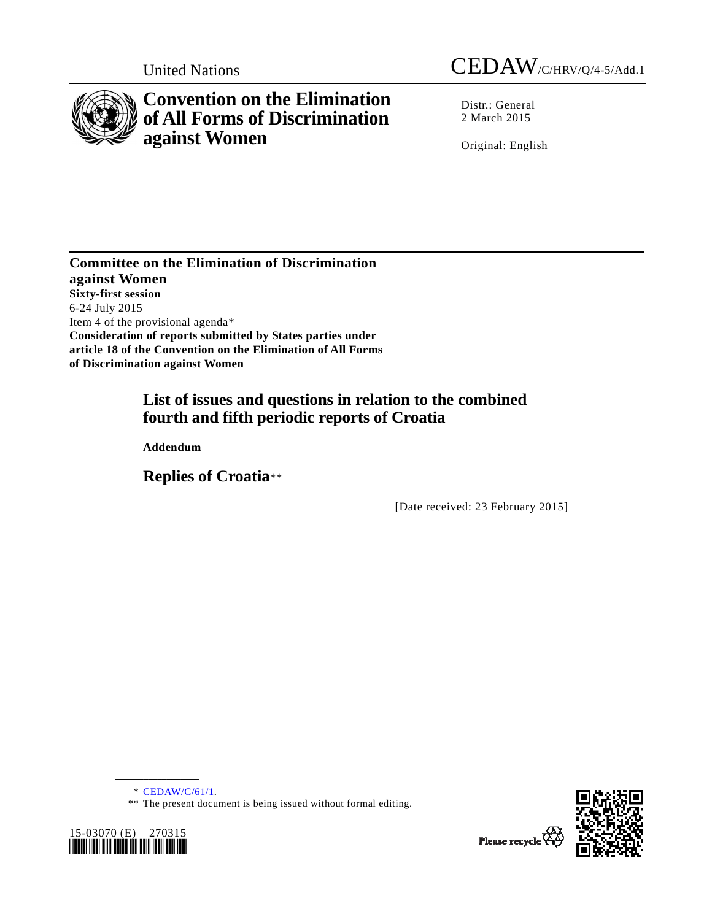



# **Convention on the Elimination of All Forms of Discrimination against Women**

Distr.: General 2 March 2015

Original: English

**Committee on the Elimination of Discrimination against Women Sixty-first session**  6-24 July 2015 Item 4 of the provisional agenda\* **Consideration of reports submitted by States parties under article 18 of the Convention on the Elimination of All Forms of Discrimination against Women** 

## **List of issues and questions in relation to the combined fourth and fifth periodic reports of Croatia**

 **Addendum** 

 **Replies of Croatia**\*\*

[Date received: 23 February 2015]

\* CEDAW/C/61/1.

**\_\_\_\_\_\_\_\_\_\_\_\_\_\_\_\_\_\_** 

<sup>\*\*</sup> The present document is being issued without formal editing.



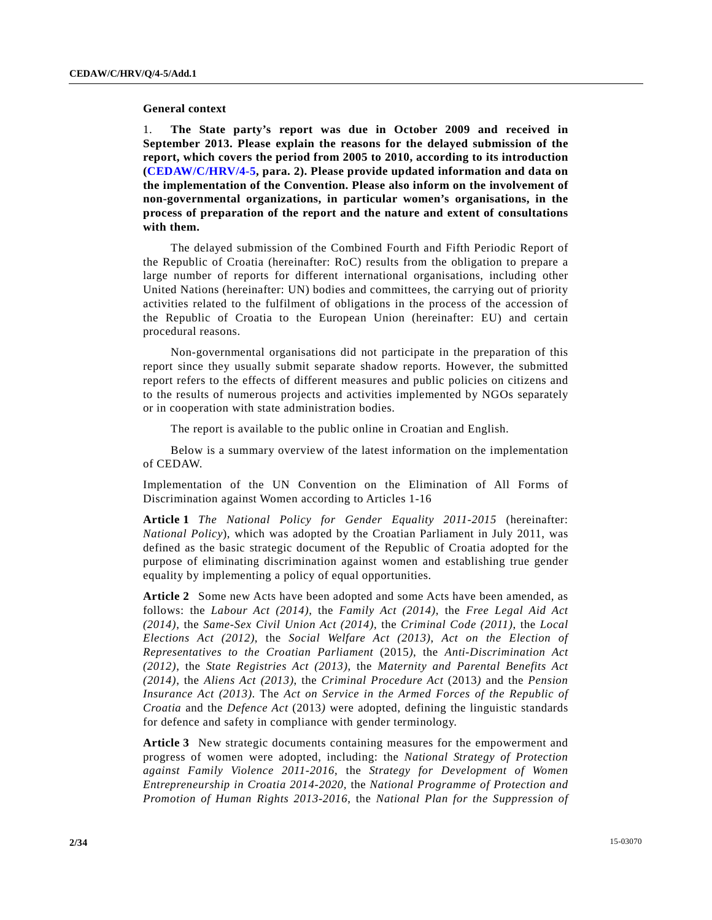#### **General context**

1. **The State party's report was due in October 2009 and received in September 2013. Please explain the reasons for the delayed submission of the report, which covers the period from 2005 to 2010, according to its introduction (CEDAW/C/HRV/4-5, para. 2). Please provide updated information and data on the implementation of the Convention. Please also inform on the involvement of non-governmental organizations, in particular women's organisations, in the process of preparation of the report and the nature and extent of consultations with them.** 

 The delayed submission of the Combined Fourth and Fifth Periodic Report of the Republic of Croatia (hereinafter: RoC) results from the obligation to prepare a large number of reports for different international organisations, including other United Nations (hereinafter: UN) bodies and committees, the carrying out of priority activities related to the fulfilment of obligations in the process of the accession of the Republic of Croatia to the European Union (hereinafter: EU) and certain procedural reasons.

 Non-governmental organisations did not participate in the preparation of this report since they usually submit separate shadow reports. However, the submitted report refers to the effects of different measures and public policies on citizens and to the results of numerous projects and activities implemented by NGOs separately or in cooperation with state administration bodies.

The report is available to the public online in Croatian and English.

 Below is a summary overview of the latest information on the implementation of CEDAW.

Implementation of the UN Convention on the Elimination of All Forms of Discrimination against Women according to Articles 1-16

**Article 1** *The National Policy for Gender Equality 2011-2015* (hereinafter: *National Policy*), which was adopted by the Croatian Parliament in July 2011, was defined as the basic strategic document of the Republic of Croatia adopted for the purpose of eliminating discrimination against women and establishing true gender equality by implementing a policy of equal opportunities.

**Article 2** Some new Acts have been adopted and some Acts have been amended, as follows: the *Labour Act (2014)*, the *Family Act (2014)*, the *Free Legal Aid Act (2014)*, the *Same-Sex Civil Union Act (2014)*, the *Criminal Code (2011)*, the *Local Elections Act (2012)*, the *Social Welfare Act (2013)*, *Act on the Election of Representatives to the Croatian Parliament* (2015*)*, the *Anti-Discrimination Act (2012)*, the *State Registries Act (2013)*, the *Maternity and Parental Benefits Act (2014)*, the *Aliens Act (2013)*, the *Criminal Procedure Act* (2013*)* and the *Pension Insurance Act (2013)*. The *Act on Service in the Armed Forces of the Republic of Croatia* and the *Defence Act* (2013*)* were adopted, defining the linguistic standards for defence and safety in compliance with gender terminology.

**Article 3** New strategic documents containing measures for the empowerment and progress of women were adopted, including: the *National Strategy of Protection against Family Violence 2011-2016*, the *Strategy for Development of Women Entrepreneurship in Croatia 2014-2020,* the *National Programme of Protection and Promotion of Human Rights 2013-2016*, the *National Plan for the Suppression of*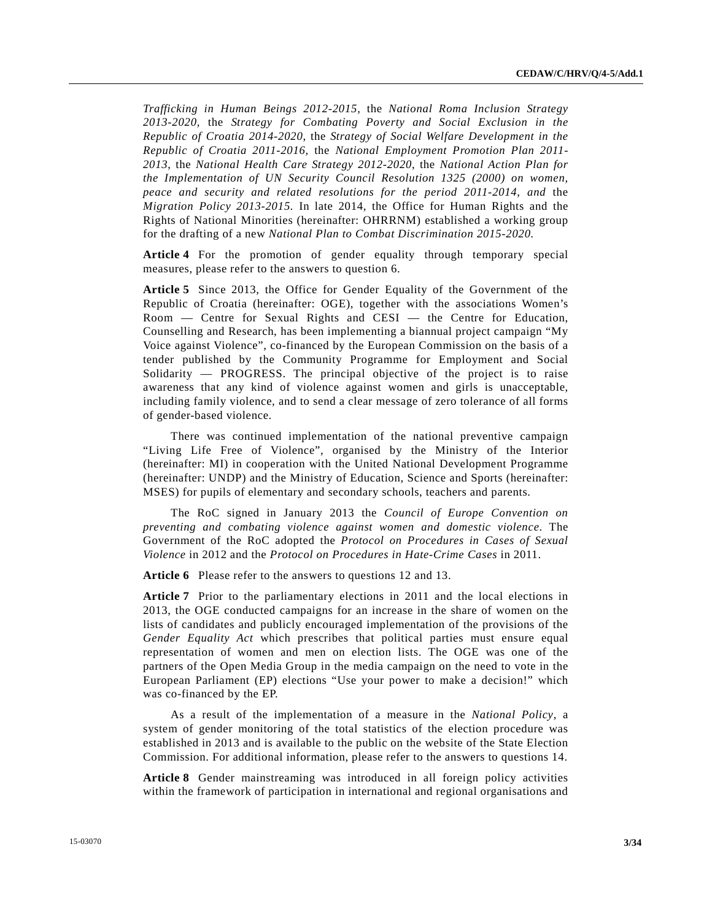*Trafficking in Human Beings 2012-2015,* the *National Roma Inclusion Strategy 2013-2020,* the *Strategy for Combating Poverty and Social Exclusion in the Republic of Croatia 2014-2020*, the *Strategy of Social Welfare Development in the Republic of Croatia 2011-2016,* the *National Employment Promotion Plan 2011- 2013*, the *National Health Care Strategy 2012-2020*, the *National Action Plan for the Implementation of UN Security Council Resolution 1325 (2000) on women, peace and security and related resolutions for the period 2011-2014*, *and* the *Migration Policy 2013-2015.* In late 2014, the Office for Human Rights and the Rights of National Minorities (hereinafter: OHRRNM) established a working group for the drafting of a new *National Plan to Combat Discrimination 2015-2020.*

**Article 4** For the promotion of gender equality through temporary special measures, please refer to the answers to question 6.

**Article 5** Since 2013, the Office for Gender Equality of the Government of the Republic of Croatia (hereinafter: OGE), together with the associations Women's Room — Centre for Sexual Rights and CESI — the Centre for Education, Counselling and Research, has been implementing a biannual project campaign "My Voice against Violence", co-financed by the European Commission on the basis of a tender published by the Community Programme for Employment and Social Solidarity — PROGRESS. The principal objective of the project is to raise awareness that any kind of violence against women and girls is unacceptable, including family violence, and to send a clear message of zero tolerance of all forms of gender-based violence.

 There was continued implementation of the national preventive campaign "Living Life Free of Violence", organised by the Ministry of the Interior (hereinafter: MI) in cooperation with the United National Development Programme (hereinafter: UNDP) and the Ministry of Education, Science and Sports (hereinafter: MSES) for pupils of elementary and secondary schools, teachers and parents.

 The RoC signed in January 2013 the *Council of Europe Convention on preventing and combating violence against women and domestic violence*. The Government of the RoC adopted the *Protocol on Procedures in Cases of Sexual Violence* in 2012 and the *Protocol on Procedures in Hate-Crime Cases* in 2011.

**Article 6** Please refer to the answers to questions 12 and 13.

**Article 7** Prior to the parliamentary elections in 2011 and the local elections in 2013, the OGE conducted campaigns for an increase in the share of women on the lists of candidates and publicly encouraged implementation of the provisions of the *Gender Equality Act* which prescribes that political parties must ensure equal representation of women and men on election lists. The OGE was one of the partners of the Open Media Group in the media campaign on the need to vote in the European Parliament (EP) elections "Use your power to make a decision!" which was co-financed by the EP.

 As a result of the implementation of a measure in the *National Policy*, a system of gender monitoring of the total statistics of the election procedure was established in 2013 and is available to the public on the website of the State Election Commission. For additional information, please refer to the answers to questions 14.

**Article 8** Gender mainstreaming was introduced in all foreign policy activities within the framework of participation in international and regional organisations and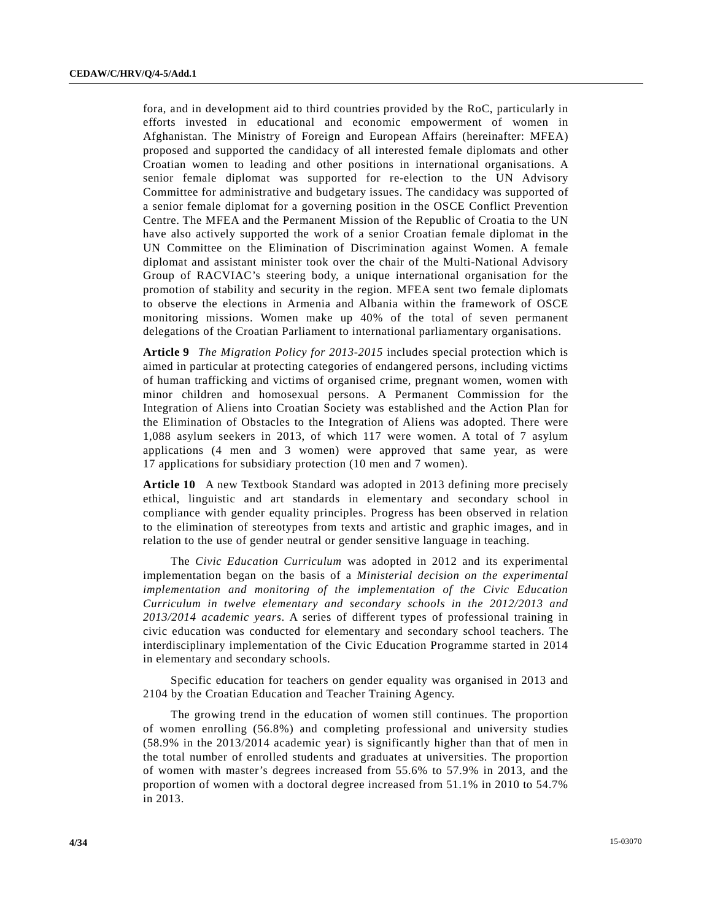fora, and in development aid to third countries provided by the RoC, particularly in efforts invested in educational and economic empowerment of women in Afghanistan. The Ministry of Foreign and European Affairs (hereinafter: MFEA) proposed and supported the candidacy of all interested female diplomats and other Croatian women to leading and other positions in international organisations. A senior female diplomat was supported for re-election to the UN Advisory Committee for administrative and budgetary issues. The candidacy was supported of a senior female diplomat for a governing position in the OSCE Conflict Prevention Centre. The MFEA and the Permanent Mission of the Republic of Croatia to the UN have also actively supported the work of a senior Croatian female diplomat in the UN Committee on the Elimination of Discrimination against Women. A female diplomat and assistant minister took over the chair of the Multi-National Advisory Group of RACVIAC's steering body, a unique international organisation for the promotion of stability and security in the region. MFEA sent two female diplomats to observe the elections in Armenia and Albania within the framework of OSCE monitoring missions. Women make up 40% of the total of seven permanent delegations of the Croatian Parliament to international parliamentary organisations.

**Article 9** *The Migration Policy for 2013-2015* includes special protection which is aimed in particular at protecting categories of endangered persons, including victims of human trafficking and victims of organised crime, pregnant women, women with minor children and homosexual persons. A Permanent Commission for the Integration of Aliens into Croatian Society was established and the Action Plan for the Elimination of Obstacles to the Integration of Aliens was adopted. There were 1,088 asylum seekers in 2013, of which 117 were women. A total of 7 asylum applications (4 men and 3 women) were approved that same year, as were 17 applications for subsidiary protection (10 men and 7 women).

**Article 10** A new Textbook Standard was adopted in 2013 defining more precisely ethical, linguistic and art standards in elementary and secondary school in compliance with gender equality principles. Progress has been observed in relation to the elimination of stereotypes from texts and artistic and graphic images, and in relation to the use of gender neutral or gender sensitive language in teaching.

 The *Civic Education Curriculum* was adopted in 2012 and its experimental implementation began on the basis of a *Ministerial decision on the experimental implementation and monitoring of the implementation of the Civic Education Curriculum in twelve elementary and secondary schools in the 2012/2013 and 2013/2014 academic years*. A series of different types of professional training in civic education was conducted for elementary and secondary school teachers. The interdisciplinary implementation of the Civic Education Programme started in 2014 in elementary and secondary schools.

 Specific education for teachers on gender equality was organised in 2013 and 2104 by the Croatian Education and Teacher Training Agency.

 The growing trend in the education of women still continues. The proportion of women enrolling (56.8%) and completing professional and university studies (58.9% in the 2013/2014 academic year) is significantly higher than that of men in the total number of enrolled students and graduates at universities. The proportion of women with master's degrees increased from 55.6% to 57.9% in 2013, and the proportion of women with a doctoral degree increased from 51.1% in 2010 to 54.7% in 2013.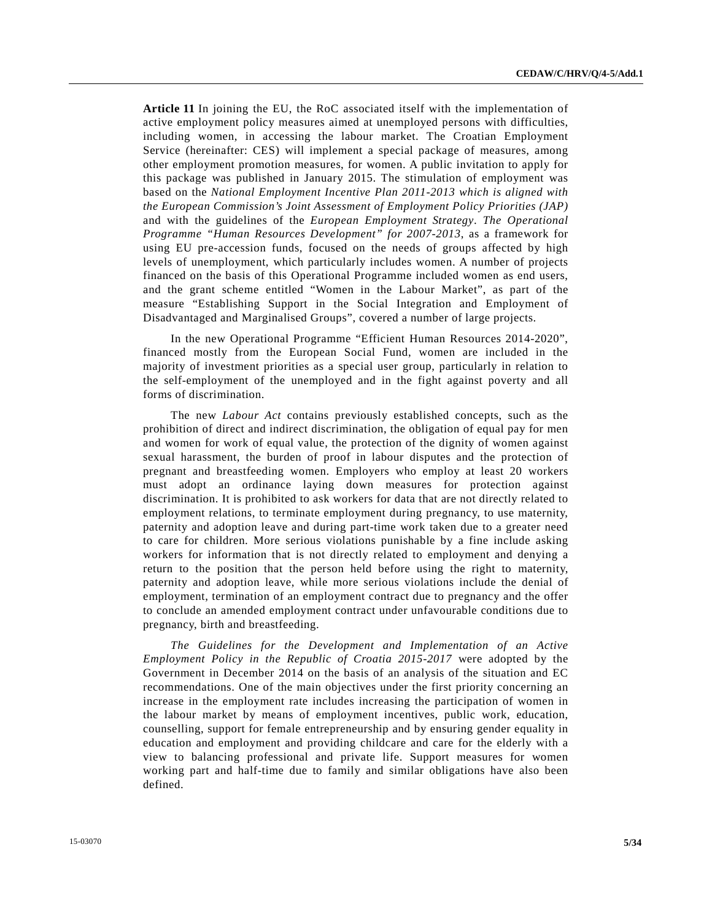**Article 11** In joining the EU, the RoC associated itself with the implementation of active employment policy measures aimed at unemployed persons with difficulties, including women, in accessing the labour market. The Croatian Employment Service (hereinafter: CES) will implement a special package of measures, among other employment promotion measures, for women. A public invitation to apply for this package was published in January 2015. The stimulation of employment was based on the *National Employment Incentive Plan 2011-2013 which is aligned with the European Commission's Joint Assessment of Employment Policy Priorities (JAP)* and with the guidelines of the *European Employment Strategy*. *The Operational Programme "Human Resources Development" for 2007-2013*, as a framework for using EU pre-accession funds, focused on the needs of groups affected by high levels of unemployment, which particularly includes women. A number of projects financed on the basis of this Operational Programme included women as end users, and the grant scheme entitled "Women in the Labour Market", as part of the measure "Establishing Support in the Social Integration and Employment of Disadvantaged and Marginalised Groups", covered a number of large projects.

 In the new Operational Programme "Efficient Human Resources 2014-2020", financed mostly from the European Social Fund, women are included in the majority of investment priorities as a special user group, particularly in relation to the self-employment of the unemployed and in the fight against poverty and all forms of discrimination.

 The new *Labour Act* contains previously established concepts, such as the prohibition of direct and indirect discrimination, the obligation of equal pay for men and women for work of equal value, the protection of the dignity of women against sexual harassment, the burden of proof in labour disputes and the protection of pregnant and breastfeeding women. Employers who employ at least 20 workers must adopt an ordinance laying down measures for protection against discrimination. It is prohibited to ask workers for data that are not directly related to employment relations, to terminate employment during pregnancy, to use maternity, paternity and adoption leave and during part-time work taken due to a greater need to care for children. More serious violations punishable by a fine include asking workers for information that is not directly related to employment and denying a return to the position that the person held before using the right to maternity, paternity and adoption leave, while more serious violations include the denial of employment, termination of an employment contract due to pregnancy and the offer to conclude an amended employment contract under unfavourable conditions due to pregnancy, birth and breastfeeding.

 *The Guidelines for the Development and Implementation of an Active Employment Policy in the Republic of Croatia 2015-2017* were adopted by the Government in December 2014 on the basis of an analysis of the situation and EC recommendations. One of the main objectives under the first priority concerning an increase in the employment rate includes increasing the participation of women in the labour market by means of employment incentives, public work, education, counselling, support for female entrepreneurship and by ensuring gender equality in education and employment and providing childcare and care for the elderly with a view to balancing professional and private life. Support measures for women working part and half-time due to family and similar obligations have also been defined.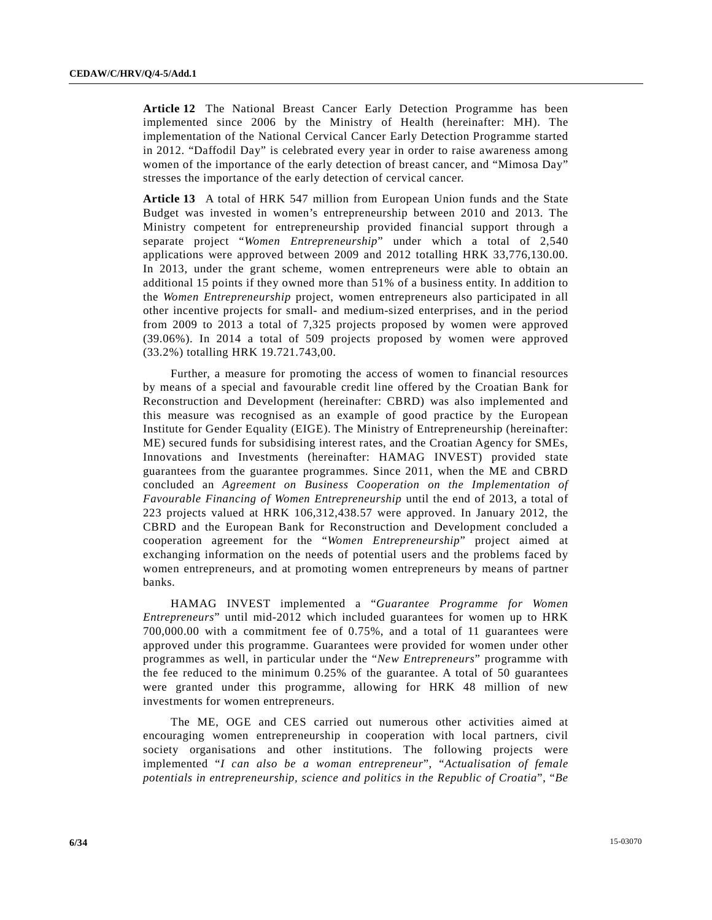**Article 12** The National Breast Cancer Early Detection Programme has been implemented since 2006 by the Ministry of Health (hereinafter: MH). The implementation of the National Cervical Cancer Early Detection Programme started in 2012. "Daffodil Day" is celebrated every year in order to raise awareness among women of the importance of the early detection of breast cancer, and "Mimosa Day" stresses the importance of the early detection of cervical cancer.

**Article 13** A total of HRK 547 million from European Union funds and the State Budget was invested in women's entrepreneurship between 2010 and 2013. The Ministry competent for entrepreneurship provided financial support through a separate project "*Women Entrepreneurship*" under which a total of 2,540 applications were approved between 2009 and 2012 totalling HRK 33,776,130.00. In 2013, under the grant scheme, women entrepreneurs were able to obtain an additional 15 points if they owned more than 51% of a business entity. In addition to the *Women Entrepreneurship* project, women entrepreneurs also participated in all other incentive projects for small- and medium-sized enterprises, and in the period from 2009 to 2013 a total of 7,325 projects proposed by women were approved (39.06%). In 2014 a total of 509 projects proposed by women were approved (33.2%) totalling HRK 19.721.743,00.

 Further, a measure for promoting the access of women to financial resources by means of a special and favourable credit line offered by the Croatian Bank for Reconstruction and Development (hereinafter: CBRD) was also implemented and this measure was recognised as an example of good practice by the European Institute for Gender Equality (EIGE). The Ministry of Entrepreneurship (hereinafter: ME) secured funds for subsidising interest rates, and the Croatian Agency for SMEs, Innovations and Investments (hereinafter: HAMAG INVEST) provided state guarantees from the guarantee programmes. Since 2011, when the ME and CBRD concluded an *Agreement on Business Cooperation on the Implementation of Favourable Financing of Women Entrepreneurship* until the end of 2013, a total of 223 projects valued at HRK 106,312,438.57 were approved. In January 2012, the CBRD and the European Bank for Reconstruction and Development concluded a cooperation agreement for the "*Women Entrepreneurship*" project aimed at exchanging information on the needs of potential users and the problems faced by women entrepreneurs, and at promoting women entrepreneurs by means of partner banks.

 HAMAG INVEST implemented a "*Guarantee Programme for Women Entrepreneurs*" until mid-2012 which included guarantees for women up to HRK 700,000.00 with a commitment fee of 0.75%, and a total of 11 guarantees were approved under this programme. Guarantees were provided for women under other programmes as well, in particular under the "*New Entrepreneurs*" programme with the fee reduced to the minimum 0.25% of the guarantee. A total of 50 guarantees were granted under this programme, allowing for HRK 48 million of new investments for women entrepreneurs.

 The ME, OGE and CES carried out numerous other activities aimed at encouraging women entrepreneurship in cooperation with local partners, civil society organisations and other institutions. The following projects were implemented "*I can also be a woman entrepreneur*", "*Actualisation of female potentials in entrepreneurship, science and politics in the Republic of Croatia*", "*Be*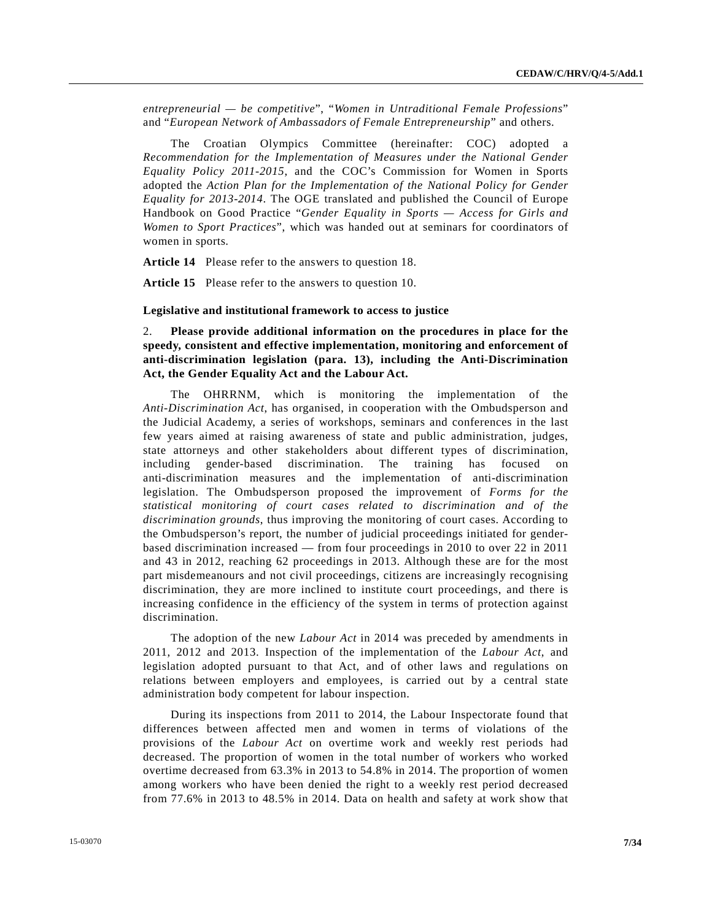*entrepreneurial — be competitive*", "*Women in Untraditional Female Professions*" and "*European Network of Ambassadors of Female Entrepreneurship*" and others.

 The Croatian Olympics Committee (hereinafter: COC) adopted a *Recommendation for the Implementation of Measures under the National Gender Equality Policy 2011-2015*, and the COC's Commission for Women in Sports adopted the *Action Plan for the Implementation of the National Policy for Gender Equality for 2013-2014*. The OGE translated and published the Council of Europe Handbook on Good Practice "*Gender Equality in Sports — Access for Girls and Women to Sport Practices*", which was handed out at seminars for coordinators of women in sports.

**Article 14** Please refer to the answers to question 18.

**Article 15** Please refer to the answers to question 10.

#### **Legislative and institutional framework to access to justice**

2. **Please provide additional information on the procedures in place for the speedy, consistent and effective implementation, monitoring and enforcement of anti-discrimination legislation (para. 13), including the Anti-Discrimination Act, the Gender Equality Act and the Labour Act.** 

 The OHRRNM, which is monitoring the implementation of the *Anti-Discrimination Act*, has organised, in cooperation with the Ombudsperson and the Judicial Academy, a series of workshops, seminars and conferences in the last few years aimed at raising awareness of state and public administration, judges, state attorneys and other stakeholders about different types of discrimination, including gender-based discrimination. The training has focused on anti-discrimination measures and the implementation of anti-discrimination legislation. The Ombudsperson proposed the improvement of *Forms for the statistical monitoring of court cases related to discrimination and of the discrimination grounds*, thus improving the monitoring of court cases. According to the Ombudsperson's report, the number of judicial proceedings initiated for genderbased discrimination increased — from four proceedings in 2010 to over 22 in 2011 and 43 in 2012, reaching 62 proceedings in 2013. Although these are for the most part misdemeanours and not civil proceedings, citizens are increasingly recognising discrimination, they are more inclined to institute court proceedings, and there is increasing confidence in the efficiency of the system in terms of protection against discrimination.

 The adoption of the new *Labour Act* in 2014 was preceded by amendments in 2011, 2012 and 2013. Inspection of the implementation of the *Labour Act*, and legislation adopted pursuant to that Act, and of other laws and regulations on relations between employers and employees, is carried out by a central state administration body competent for labour inspection.

 During its inspections from 2011 to 2014, the Labour Inspectorate found that differences between affected men and women in terms of violations of the provisions of the *Labour Act* on overtime work and weekly rest periods had decreased. The proportion of women in the total number of workers who worked overtime decreased from 63.3% in 2013 to 54.8% in 2014. The proportion of women among workers who have been denied the right to a weekly rest period decreased from 77.6% in 2013 to 48.5% in 2014. Data on health and safety at work show that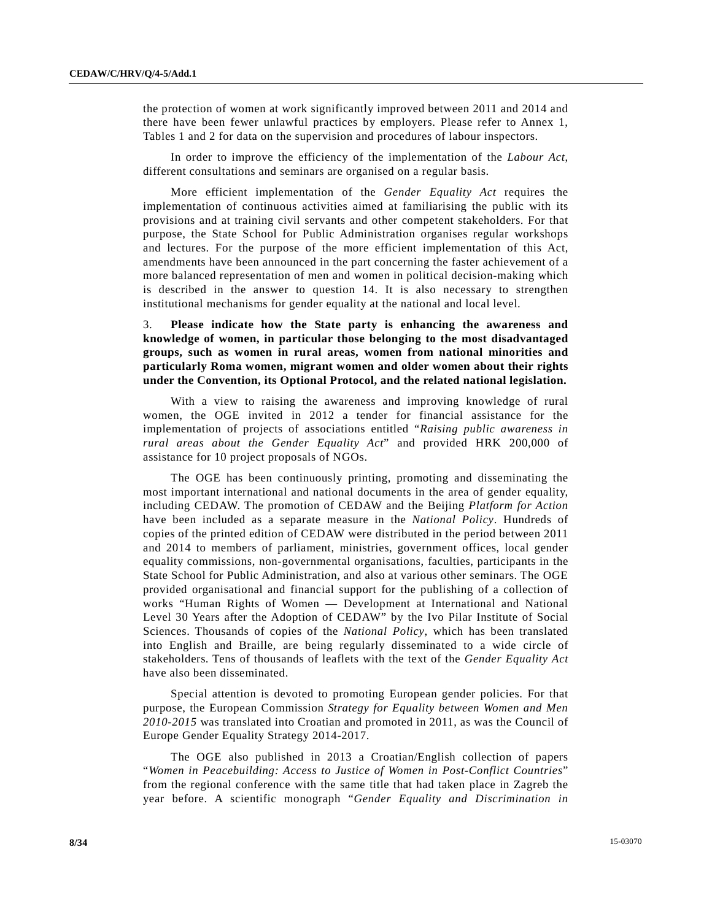the protection of women at work significantly improved between 2011 and 2014 and there have been fewer unlawful practices by employers. Please refer to Annex 1, Tables 1 and 2 for data on the supervision and procedures of labour inspectors.

 In order to improve the efficiency of the implementation of the *Labour Act*, different consultations and seminars are organised on a regular basis.

 More efficient implementation of the *Gender Equality Act* requires the implementation of continuous activities aimed at familiarising the public with its provisions and at training civil servants and other competent stakeholders. For that purpose, the State School for Public Administration organises regular workshops and lectures. For the purpose of the more efficient implementation of this Act, amendments have been announced in the part concerning the faster achievement of a more balanced representation of men and women in political decision-making which is described in the answer to question 14. It is also necessary to strengthen institutional mechanisms for gender equality at the national and local level.

3. **Please indicate how the State party is enhancing the awareness and knowledge of women, in particular those belonging to the most disadvantaged groups, such as women in rural areas, women from national minorities and particularly Roma women, migrant women and older women about their rights under the Convention, its Optional Protocol, and the related national legislation.** 

 With a view to raising the awareness and improving knowledge of rural women, the OGE invited in 2012 a tender for financial assistance for the implementation of projects of associations entitled "*Raising public awareness in rural areas about the Gender Equality Act*" and provided HRK 200,000 of assistance for 10 project proposals of NGOs.

 The OGE has been continuously printing, promoting and disseminating the most important international and national documents in the area of gender equality, including CEDAW. The promotion of CEDAW and the Beijing *Platform for Action* have been included as a separate measure in the *National Policy*. Hundreds of copies of the printed edition of CEDAW were distributed in the period between 2011 and 2014 to members of parliament, ministries, government offices, local gender equality commissions, non-governmental organisations, faculties, participants in the State School for Public Administration, and also at various other seminars. The OGE provided organisational and financial support for the publishing of a collection of works "Human Rights of Women — Development at International and National Level 30 Years after the Adoption of CEDAW" by the Ivo Pilar Institute of Social Sciences. Thousands of copies of the *National Policy*, which has been translated into English and Braille, are being regularly disseminated to a wide circle of stakeholders. Tens of thousands of leaflets with the text of the *Gender Equality Act* have also been disseminated.

 Special attention is devoted to promoting European gender policies. For that purpose, the European Commission *Strategy for Equality between Women and Men 2010-2015* was translated into Croatian and promoted in 2011, as was the Council of Europe Gender Equality Strategy 2014-2017.

 The OGE also published in 2013 a Croatian/English collection of papers "*Women in Peacebuilding: Access to Justice of Women in Post-Conflict Countries*" from the regional conference with the same title that had taken place in Zagreb the year before. A scientific monograph "*Gender Equality and Discrimination in*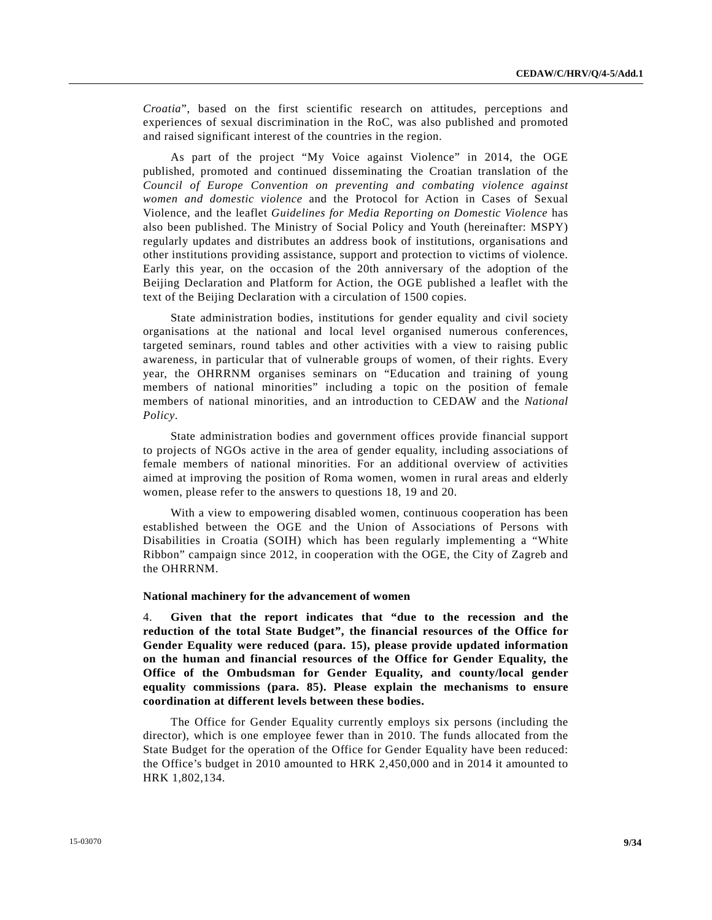*Croatia*", based on the first scientific research on attitudes, perceptions and experiences of sexual discrimination in the RoC, was also published and promoted and raised significant interest of the countries in the region.

 As part of the project "My Voice against Violence" in 2014, the OGE published, promoted and continued disseminating the Croatian translation of the *Council of Europe Convention on preventing and combating violence against women and domestic violence* and the Protocol for Action in Cases of Sexual Violence, and the leaflet *Guidelines for Media Reporting on Domestic Violence* has also been published. The Ministry of Social Policy and Youth (hereinafter: MSPY) regularly updates and distributes an address book of institutions, organisations and other institutions providing assistance, support and protection to victims of violence. Early this year, on the occasion of the 20th anniversary of the adoption of the Beijing Declaration and Platform for Action, the OGE published a leaflet with the text of the Beijing Declaration with a circulation of 1500 copies.

 State administration bodies, institutions for gender equality and civil society organisations at the national and local level organised numerous conferences, targeted seminars, round tables and other activities with a view to raising public awareness, in particular that of vulnerable groups of women, of their rights. Every year, the OHRRNM organises seminars on "Education and training of young members of national minorities" including a topic on the position of female members of national minorities, and an introduction to CEDAW and the *National Policy*.

 State administration bodies and government offices provide financial support to projects of NGOs active in the area of gender equality, including associations of female members of national minorities. For an additional overview of activities aimed at improving the position of Roma women, women in rural areas and elderly women, please refer to the answers to questions 18, 19 and 20.

 With a view to empowering disabled women, continuous cooperation has been established between the OGE and the Union of Associations of Persons with Disabilities in Croatia (SOIH) which has been regularly implementing a "White Ribbon" campaign since 2012, in cooperation with the OGE, the City of Zagreb and the OHRRNM.

#### **National machinery for the advancement of women**

4. **Given that the report indicates that "due to the recession and the reduction of the total State Budget", the financial resources of the Office for Gender Equality were reduced (para. 15), please provide updated information on the human and financial resources of the Office for Gender Equality, the Office of the Ombudsman for Gender Equality, and county/local gender equality commissions (para. 85). Please explain the mechanisms to ensure coordination at different levels between these bodies.**

 The Office for Gender Equality currently employs six persons (including the director), which is one employee fewer than in 2010. The funds allocated from the State Budget for the operation of the Office for Gender Equality have been reduced: the Office's budget in 2010 amounted to HRK 2,450,000 and in 2014 it amounted to HRK 1,802,134.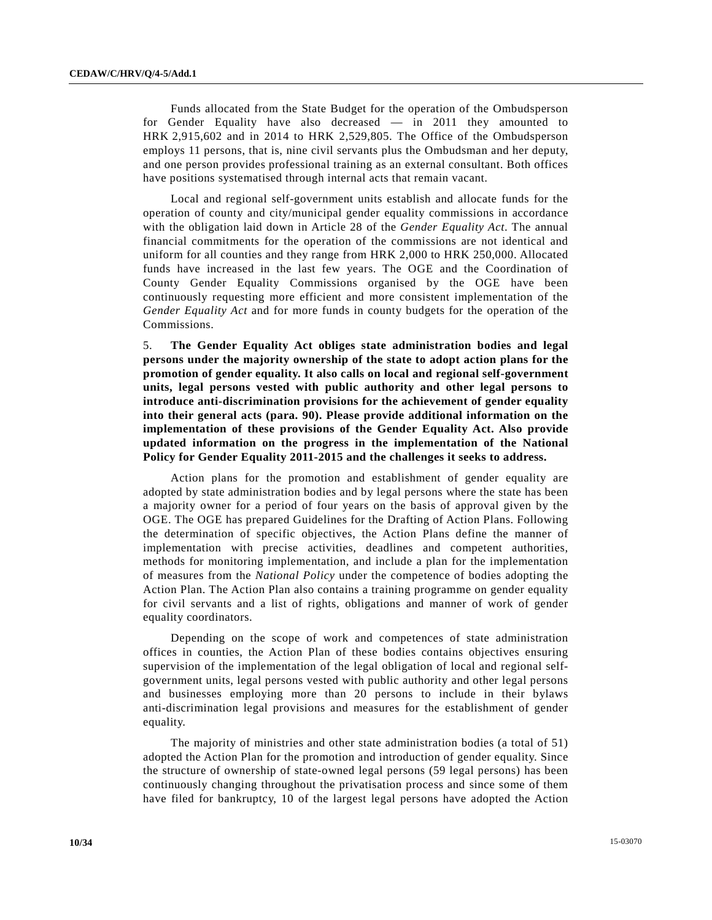Funds allocated from the State Budget for the operation of the Ombudsperson for Gender Equality have also decreased — in 2011 they amounted to HRK 2,915,602 and in 2014 to HRK 2,529,805. The Office of the Ombudsperson employs 11 persons, that is, nine civil servants plus the Ombudsman and her deputy, and one person provides professional training as an external consultant. Both offices have positions systematised through internal acts that remain vacant.

 Local and regional self-government units establish and allocate funds for the operation of county and city/municipal gender equality commissions in accordance with the obligation laid down in Article 28 of the *Gender Equality Act*. The annual financial commitments for the operation of the commissions are not identical and uniform for all counties and they range from HRK 2,000 to HRK 250,000. Allocated funds have increased in the last few years. The OGE and the Coordination of County Gender Equality Commissions organised by the OGE have been continuously requesting more efficient and more consistent implementation of the *Gender Equality Act* and for more funds in county budgets for the operation of the Commissions.

5. **The Gender Equality Act obliges state administration bodies and legal persons under the majority ownership of the state to adopt action plans for the promotion of gender equality. It also calls on local and regional self-government units, legal persons vested with public authority and other legal persons to introduce anti-discrimination provisions for the achievement of gender equality into their general acts (para. 90). Please provide additional information on the implementation of these provisions of the Gender Equality Act. Also provide updated information on the progress in the implementation of the National Policy for Gender Equality 2011-2015 and the challenges it seeks to address.**

 Action plans for the promotion and establishment of gender equality are adopted by state administration bodies and by legal persons where the state has been a majority owner for a period of four years on the basis of approval given by the OGE. The OGE has prepared Guidelines for the Drafting of Action Plans. Following the determination of specific objectives, the Action Plans define the manner of implementation with precise activities, deadlines and competent authorities, methods for monitoring implementation, and include a plan for the implementation of measures from the *National Policy* under the competence of bodies adopting the Action Plan. The Action Plan also contains a training programme on gender equality for civil servants and a list of rights, obligations and manner of work of gender equality coordinators.

 Depending on the scope of work and competences of state administration offices in counties, the Action Plan of these bodies contains objectives ensuring supervision of the implementation of the legal obligation of local and regional selfgovernment units, legal persons vested with public authority and other legal persons and businesses employing more than 20 persons to include in their bylaws anti-discrimination legal provisions and measures for the establishment of gender equality.

 The majority of ministries and other state administration bodies (a total of 51) adopted the Action Plan for the promotion and introduction of gender equality. Since the structure of ownership of state-owned legal persons (59 legal persons) has been continuously changing throughout the privatisation process and since some of them have filed for bankruptcy, 10 of the largest legal persons have adopted the Action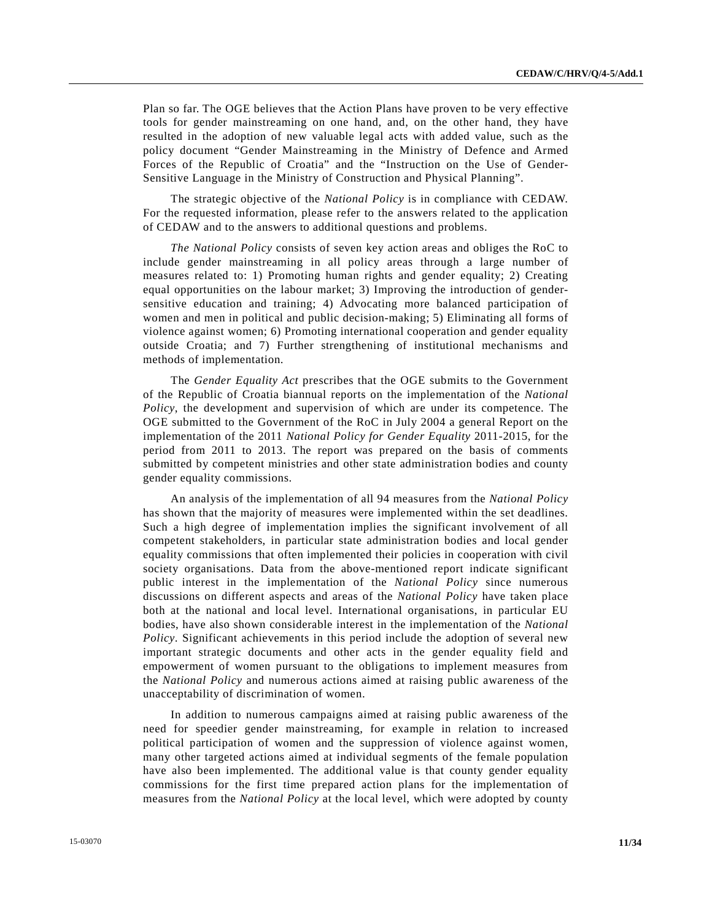Plan so far. The OGE believes that the Action Plans have proven to be very effective tools for gender mainstreaming on one hand, and, on the other hand, they have resulted in the adoption of new valuable legal acts with added value, such as the policy document "Gender Mainstreaming in the Ministry of Defence and Armed Forces of the Republic of Croatia" and the "Instruction on the Use of Gender-Sensitive Language in the Ministry of Construction and Physical Planning".

 The strategic objective of the *National Policy* is in compliance with CEDAW. For the requested information, please refer to the answers related to the application of CEDAW and to the answers to additional questions and problems.

*The National Policy* consists of seven key action areas and obliges the RoC to include gender mainstreaming in all policy areas through a large number of measures related to: 1) Promoting human rights and gender equality; 2) Creating equal opportunities on the labour market; 3) Improving the introduction of gendersensitive education and training; 4) Advocating more balanced participation of women and men in political and public decision-making; 5) Eliminating all forms of violence against women; 6) Promoting international cooperation and gender equality outside Croatia; and 7) Further strengthening of institutional mechanisms and methods of implementation.

 The *Gender Equality Act* prescribes that the OGE submits to the Government of the Republic of Croatia biannual reports on the implementation of the *National Policy*, the development and supervision of which are under its competence. The OGE submitted to the Government of the RoC in July 2004 a general Report on the implementation of the 2011 *National Policy for Gender Equality* 2011-2015, for the period from 2011 to 2013. The report was prepared on the basis of comments submitted by competent ministries and other state administration bodies and county gender equality commissions.

 An analysis of the implementation of all 94 measures from the *National Policy* has shown that the majority of measures were implemented within the set deadlines. Such a high degree of implementation implies the significant involvement of all competent stakeholders, in particular state administration bodies and local gender equality commissions that often implemented their policies in cooperation with civil society organisations. Data from the above-mentioned report indicate significant public interest in the implementation of the *National Policy* since numerous discussions on different aspects and areas of the *National Policy* have taken place both at the national and local level. International organisations, in particular EU bodies, have also shown considerable interest in the implementation of the *National Policy*. Significant achievements in this period include the adoption of several new important strategic documents and other acts in the gender equality field and empowerment of women pursuant to the obligations to implement measures from the *National Policy* and numerous actions aimed at raising public awareness of the unacceptability of discrimination of women.

 In addition to numerous campaigns aimed at raising public awareness of the need for speedier gender mainstreaming, for example in relation to increased political participation of women and the suppression of violence against women, many other targeted actions aimed at individual segments of the female population have also been implemented. The additional value is that county gender equality commissions for the first time prepared action plans for the implementation of measures from the *National Policy* at the local level, which were adopted by county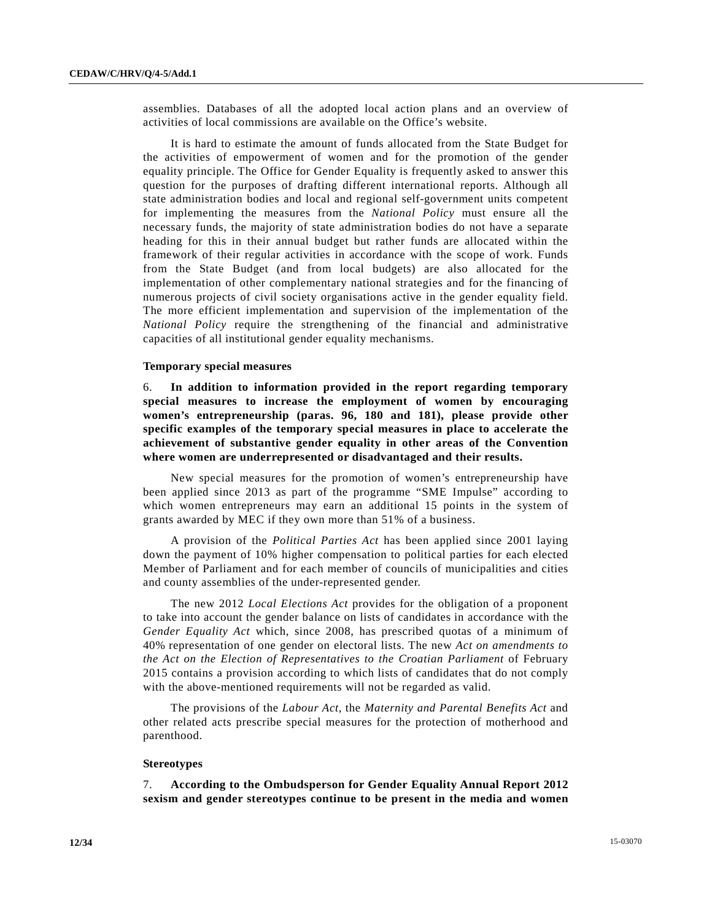assemblies. Databases of all the adopted local action plans and an overview of activities of local commissions are available on the Office's website.

 It is hard to estimate the amount of funds allocated from the State Budget for the activities of empowerment of women and for the promotion of the gender equality principle. The Office for Gender Equality is frequently asked to answer this question for the purposes of drafting different international reports. Although all state administration bodies and local and regional self-government units competent for implementing the measures from the *National Policy* must ensure all the necessary funds, the majority of state administration bodies do not have a separate heading for this in their annual budget but rather funds are allocated within the framework of their regular activities in accordance with the scope of work. Funds from the State Budget (and from local budgets) are also allocated for the implementation of other complementary national strategies and for the financing of numerous projects of civil society organisations active in the gender equality field. The more efficient implementation and supervision of the implementation of the *National Policy* require the strengthening of the financial and administrative capacities of all institutional gender equality mechanisms.

#### **Temporary special measures**

6. **In addition to information provided in the report regarding temporary special measures to increase the employment of women by encouraging women's entrepreneurship (paras. 96, 180 and 181), please provide other specific examples of the temporary special measures in place to accelerate the achievement of substantive gender equality in other areas of the Convention where women are underrepresented or disadvantaged and their results.** 

 New special measures for the promotion of women's entrepreneurship have been applied since 2013 as part of the programme "SME Impulse" according to which women entrepreneurs may earn an additional 15 points in the system of grants awarded by MEC if they own more than 51% of a business.

 A provision of the *Political Parties Act* has been applied since 2001 laying down the payment of 10% higher compensation to political parties for each elected Member of Parliament and for each member of councils of municipalities and cities and county assemblies of the under-represented gender.

 The new 2012 *Local Elections Act* provides for the obligation of a proponent to take into account the gender balance on lists of candidates in accordance with the *Gender Equality Act* which, since 2008, has prescribed quotas of a minimum of 40% representation of one gender on electoral lists. The new *Act on amendments to the Act on the Election of Representatives to the Croatian Parliament* of February 2015 contains a provision according to which lists of candidates that do not comply with the above-mentioned requirements will not be regarded as valid.

 The provisions of the *Labour Act*, the *Maternity and Parental Benefits Act* and other related acts prescribe special measures for the protection of motherhood and parenthood.

#### **Stereotypes**

7. **According to the Ombudsperson for Gender Equality Annual Report 2012 sexism and gender stereotypes continue to be present in the media and women**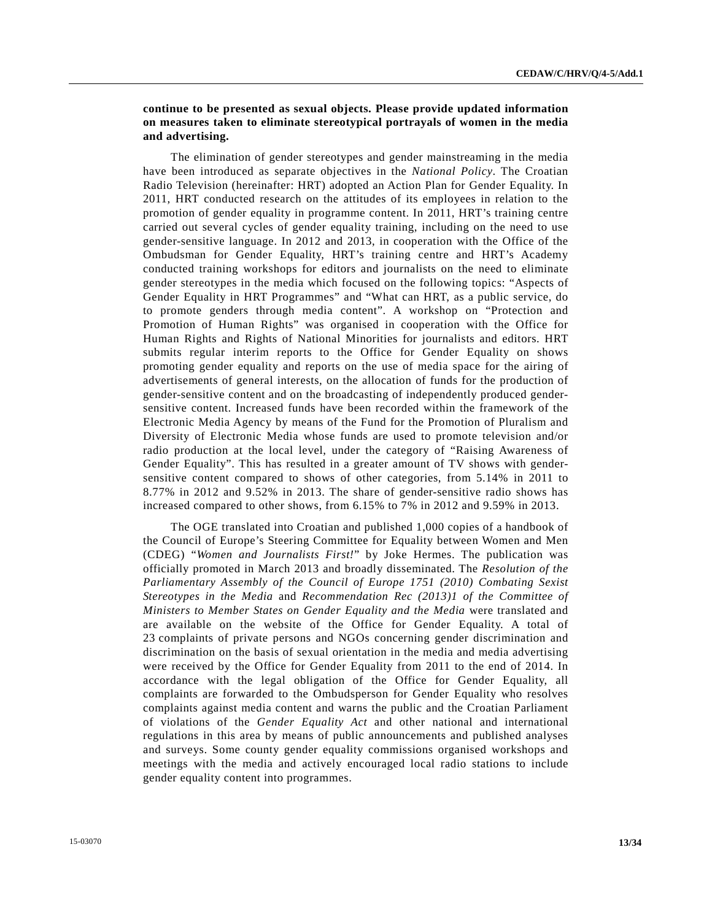## **continue to be presented as sexual objects. Please provide updated information on measures taken to eliminate stereotypical portrayals of women in the media and advertising.**

 The elimination of gender stereotypes and gender mainstreaming in the media have been introduced as separate objectives in the *National Policy*. The Croatian Radio Television (hereinafter: HRT) adopted an Action Plan for Gender Equality. In 2011, HRT conducted research on the attitudes of its employees in relation to the promotion of gender equality in programme content. In 2011, HRT's training centre carried out several cycles of gender equality training, including on the need to use gender-sensitive language. In 2012 and 2013, in cooperation with the Office of the Ombudsman for Gender Equality, HRT's training centre and HRT's Academy conducted training workshops for editors and journalists on the need to eliminate gender stereotypes in the media which focused on the following topics: "Aspects of Gender Equality in HRT Programmes" and "What can HRT, as a public service, do to promote genders through media content". A workshop on "Protection and Promotion of Human Rights" was organised in cooperation with the Office for Human Rights and Rights of National Minorities for journalists and editors. HRT submits regular interim reports to the Office for Gender Equality on shows promoting gender equality and reports on the use of media space for the airing of advertisements of general interests, on the allocation of funds for the production of gender-sensitive content and on the broadcasting of independently produced gendersensitive content. Increased funds have been recorded within the framework of the Electronic Media Agency by means of the Fund for the Promotion of Pluralism and Diversity of Electronic Media whose funds are used to promote television and/or radio production at the local level, under the category of "Raising Awareness of Gender Equality". This has resulted in a greater amount of TV shows with gendersensitive content compared to shows of other categories, from 5.14% in 2011 to 8.77% in 2012 and 9.52% in 2013. The share of gender-sensitive radio shows has increased compared to other shows, from 6.15% to 7% in 2012 and 9.59% in 2013.

 The OGE translated into Croatian and published 1,000 copies of a handbook of the Council of Europe's Steering Committee for Equality between Women and Men (CDEG) "*Women and Journalists First!*" by Joke Hermes. The publication was officially promoted in March 2013 and broadly disseminated. The *Resolution of the Parliamentary Assembly of the Council of Europe 1751 (2010) Combating Sexist Stereotypes in the Media* and *Recommendation Rec (2013)1 of the Committee of Ministers to Member States on Gender Equality and the Media* were translated and are available on the website of the Office for Gender Equality. A total of 23 complaints of private persons and NGOs concerning gender discrimination and discrimination on the basis of sexual orientation in the media and media advertising were received by the Office for Gender Equality from 2011 to the end of 2014. In accordance with the legal obligation of the Office for Gender Equality, all complaints are forwarded to the Ombudsperson for Gender Equality who resolves complaints against media content and warns the public and the Croatian Parliament of violations of the *Gender Equality Act* and other national and international regulations in this area by means of public announcements and published analyses and surveys. Some county gender equality commissions organised workshops and meetings with the media and actively encouraged local radio stations to include gender equality content into programmes.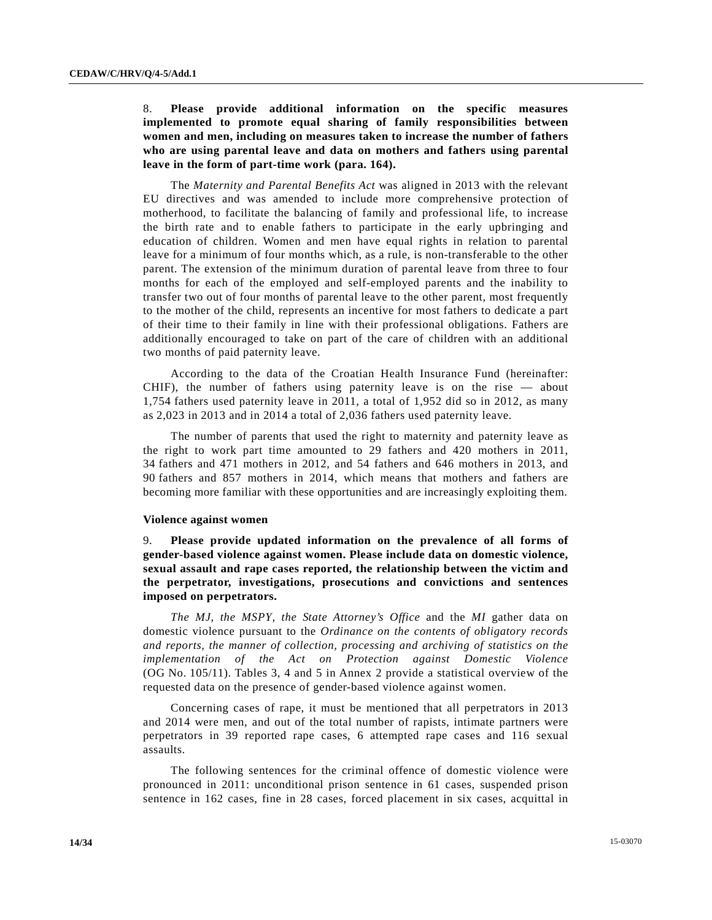## 8. **Please provide additional information on the specific measures implemented to promote equal sharing of family responsibilities between women and men, including on measures taken to increase the number of fathers who are using parental leave and data on mothers and fathers using parental leave in the form of part-time work (para. 164).**

 The *Maternity and Parental Benefits Act* was aligned in 2013 with the relevant EU directives and was amended to include more comprehensive protection of motherhood, to facilitate the balancing of family and professional life, to increase the birth rate and to enable fathers to participate in the early upbringing and education of children. Women and men have equal rights in relation to parental leave for a minimum of four months which, as a rule, is non-transferable to the other parent. The extension of the minimum duration of parental leave from three to four months for each of the employed and self-employed parents and the inability to transfer two out of four months of parental leave to the other parent, most frequently to the mother of the child, represents an incentive for most fathers to dedicate a part of their time to their family in line with their professional obligations. Fathers are additionally encouraged to take on part of the care of children with an additional two months of paid paternity leave.

 According to the data of the Croatian Health Insurance Fund (hereinafter: CHIF), the number of fathers using paternity leave is on the rise — about 1,754 fathers used paternity leave in 2011, a total of 1,952 did so in 2012, as many as 2,023 in 2013 and in 2014 a total of 2,036 fathers used paternity leave.

 The number of parents that used the right to maternity and paternity leave as the right to work part time amounted to 29 fathers and 420 mothers in 2011, 34 fathers and 471 mothers in 2012, and 54 fathers and 646 mothers in 2013, and 90 fathers and 857 mothers in 2014, which means that mothers and fathers are becoming more familiar with these opportunities and are increasingly exploiting them.

#### **Violence against women**

9. **Please provide updated information on the prevalence of all forms of gender-based violence against women. Please include data on domestic violence, sexual assault and rape cases reported, the relationship between the victim and the perpetrator, investigations, prosecutions and convictions and sentences imposed on perpetrators.** 

*The MJ*, *the MSPY*, *the State Attorney's Office* and the *MI* gather data on domestic violence pursuant to the *Ordinance on the contents of obligatory records and reports, the manner of collection, processing and archiving of statistics on the implementation of the Act on Protection against Domestic Violence* (OG No. 105/11). Tables 3, 4 and 5 in Annex 2 provide a statistical overview of the requested data on the presence of gender-based violence against women.

 Concerning cases of rape, it must be mentioned that all perpetrators in 2013 and 2014 were men, and out of the total number of rapists, intimate partners were perpetrators in 39 reported rape cases, 6 attempted rape cases and 116 sexual assaults.

 The following sentences for the criminal offence of domestic violence were pronounced in 2011: unconditional prison sentence in 61 cases, suspended prison sentence in 162 cases, fine in 28 cases, forced placement in six cases, acquittal in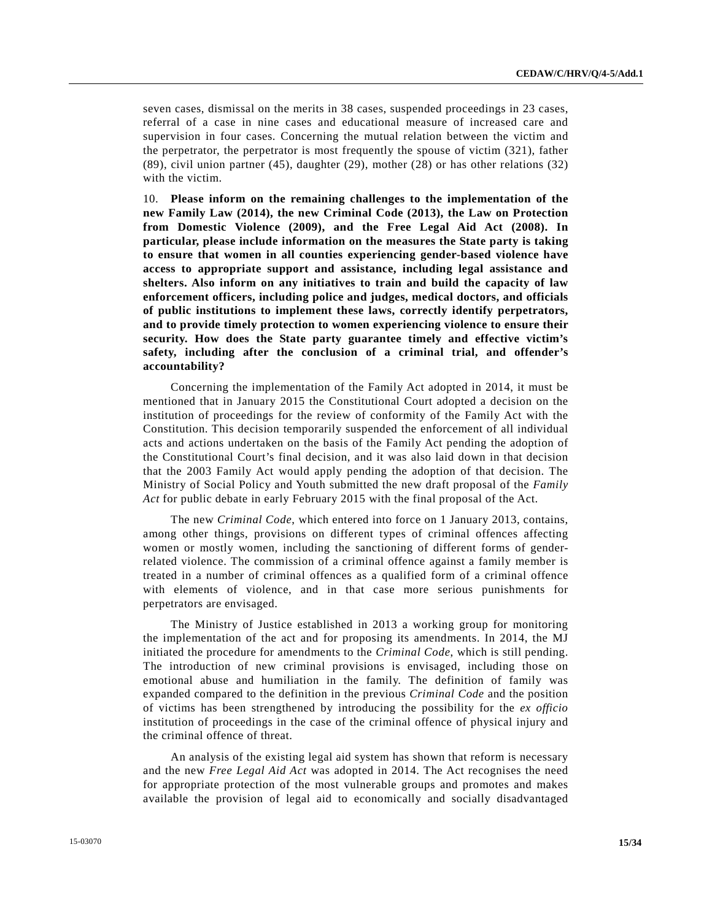seven cases, dismissal on the merits in 38 cases, suspended proceedings in 23 cases, referral of a case in nine cases and educational measure of increased care and supervision in four cases. Concerning the mutual relation between the victim and the perpetrator, the perpetrator is most frequently the spouse of victim (321), father (89), civil union partner (45), daughter (29), mother (28) or has other relations (32) with the victim.

10. **Please inform on the remaining challenges to the implementation of the new Family Law (2014), the new Criminal Code (2013), the Law on Protection from Domestic Violence (2009), and the Free Legal Aid Act (2008). In particular, please include information on the measures the State party is taking to ensure that women in all counties experiencing gender-based violence have access to appropriate support and assistance, including legal assistance and shelters. Also inform on any initiatives to train and build the capacity of law enforcement officers, including police and judges, medical doctors, and officials of public institutions to implement these laws, correctly identify perpetrators, and to provide timely protection to women experiencing violence to ensure their security. How does the State party guarantee timely and effective victim's safety, including after the conclusion of a criminal trial, and offender's accountability?** 

 Concerning the implementation of the Family Act adopted in 2014, it must be mentioned that in January 2015 the Constitutional Court adopted a decision on the institution of proceedings for the review of conformity of the Family Act with the Constitution. This decision temporarily suspended the enforcement of all individual acts and actions undertaken on the basis of the Family Act pending the adoption of the Constitutional Court's final decision, and it was also laid down in that decision that the 2003 Family Act would apply pending the adoption of that decision. The Ministry of Social Policy and Youth submitted the new draft proposal of the *Family Act* for public debate in early February 2015 with the final proposal of the Act.

 The new *Criminal Code*, which entered into force on 1 January 2013, contains, among other things, provisions on different types of criminal offences affecting women or mostly women, including the sanctioning of different forms of genderrelated violence. The commission of a criminal offence against a family member is treated in a number of criminal offences as a qualified form of a criminal offence with elements of violence, and in that case more serious punishments for perpetrators are envisaged.

 The Ministry of Justice established in 2013 a working group for monitoring the implementation of the act and for proposing its amendments. In 2014, the MJ initiated the procedure for amendments to the *Criminal Code*, which is still pending. The introduction of new criminal provisions is envisaged, including those on emotional abuse and humiliation in the family. The definition of family was expanded compared to the definition in the previous *Criminal Code* and the position of victims has been strengthened by introducing the possibility for the *ex officio* institution of proceedings in the case of the criminal offence of physical injury and the criminal offence of threat.

 An analysis of the existing legal aid system has shown that reform is necessary and the new *Free Legal Aid Act* was adopted in 2014. The Act recognises the need for appropriate protection of the most vulnerable groups and promotes and makes available the provision of legal aid to economically and socially disadvantaged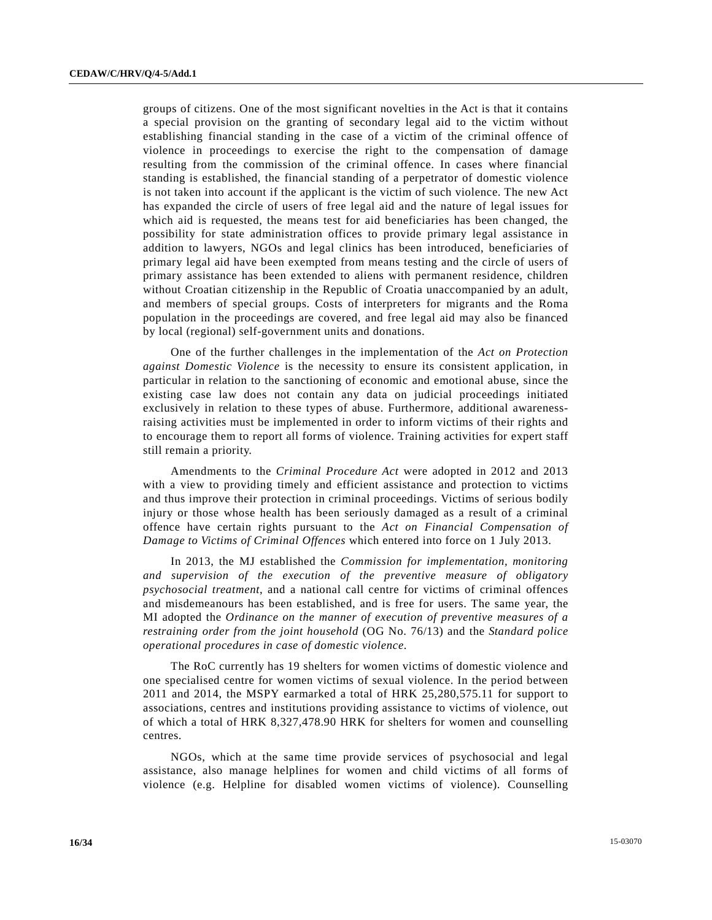groups of citizens. One of the most significant novelties in the Act is that it contains a special provision on the granting of secondary legal aid to the victim without establishing financial standing in the case of a victim of the criminal offence of violence in proceedings to exercise the right to the compensation of damage resulting from the commission of the criminal offence. In cases where financial standing is established, the financial standing of a perpetrator of domestic violence is not taken into account if the applicant is the victim of such violence. The new Act has expanded the circle of users of free legal aid and the nature of legal issues for which aid is requested, the means test for aid beneficiaries has been changed, the possibility for state administration offices to provide primary legal assistance in addition to lawyers, NGOs and legal clinics has been introduced, beneficiaries of primary legal aid have been exempted from means testing and the circle of users of primary assistance has been extended to aliens with permanent residence, children without Croatian citizenship in the Republic of Croatia unaccompanied by an adult, and members of special groups. Costs of interpreters for migrants and the Roma population in the proceedings are covered, and free legal aid may also be financed by local (regional) self-government units and donations.

 One of the further challenges in the implementation of the *Act on Protection against Domestic Violence* is the necessity to ensure its consistent application, in particular in relation to the sanctioning of economic and emotional abuse, since the existing case law does not contain any data on judicial proceedings initiated exclusively in relation to these types of abuse. Furthermore, additional awarenessraising activities must be implemented in order to inform victims of their rights and to encourage them to report all forms of violence. Training activities for expert staff still remain a priority.

 Amendments to the *Criminal Procedure Act* were adopted in 2012 and 2013 with a view to providing timely and efficient assistance and protection to victims and thus improve their protection in criminal proceedings. Victims of serious bodily injury or those whose health has been seriously damaged as a result of a criminal offence have certain rights pursuant to the *Act on Financial Compensation of Damage to Victims of Criminal Offences* which entered into force on 1 July 2013.

 In 2013, the MJ established the *Commission for implementation, monitoring and supervision of the execution of the preventive measure of obligatory psychosocial treatment*, and a national call centre for victims of criminal offences and misdemeanours has been established, and is free for users. The same year, the MI adopted the *Ordinance on the manner of execution of preventive measures of a restraining order from the joint household* (OG No. 76/13) and the *Standard police operational procedures in case of domestic violence*.

 The RoC currently has 19 shelters for women victims of domestic violence and one specialised centre for women victims of sexual violence. In the period between 2011 and 2014, the MSPY earmarked a total of HRK 25,280,575.11 for support to associations, centres and institutions providing assistance to victims of violence, out of which a total of HRK 8,327,478.90 HRK for shelters for women and counselling centres.

 NGOs, which at the same time provide services of psychosocial and legal assistance, also manage helplines for women and child victims of all forms of violence (e.g. Helpline for disabled women victims of violence). Counselling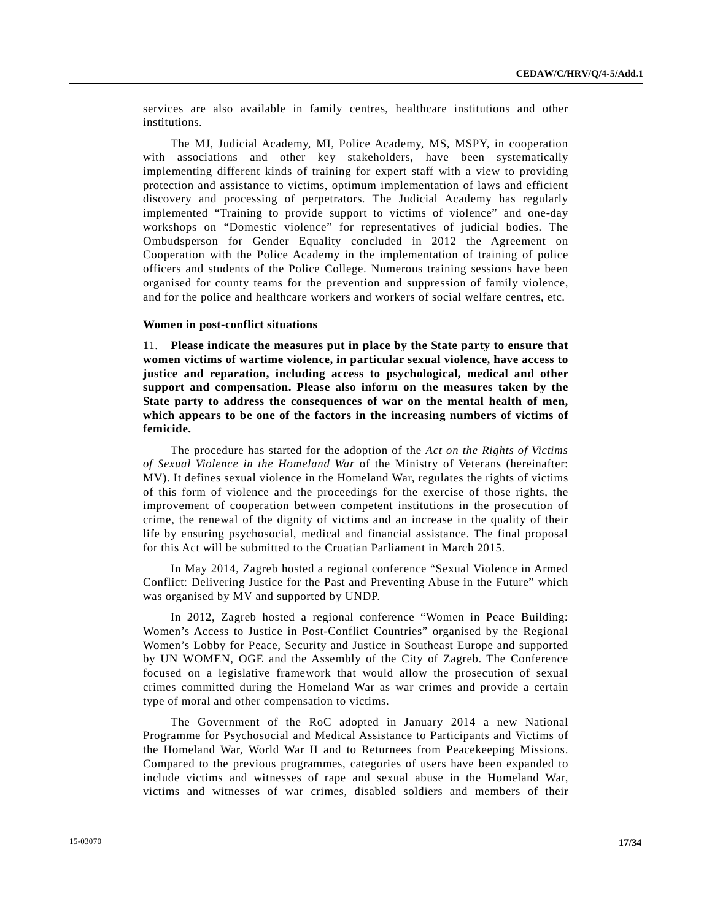services are also available in family centres, healthcare institutions and other institutions.

 The MJ, Judicial Academy, MI, Police Academy, MS, MSPY, in cooperation with associations and other key stakeholders, have been systematically implementing different kinds of training for expert staff with a view to providing protection and assistance to victims, optimum implementation of laws and efficient discovery and processing of perpetrators. The Judicial Academy has regularly implemented "Training to provide support to victims of violence" and one-day workshops on "Domestic violence" for representatives of judicial bodies. The Ombudsperson for Gender Equality concluded in 2012 the Agreement on Cooperation with the Police Academy in the implementation of training of police officers and students of the Police College. Numerous training sessions have been organised for county teams for the prevention and suppression of family violence, and for the police and healthcare workers and workers of social welfare centres, etc.

#### **Women in post-conflict situations**

11. **Please indicate the measures put in place by the State party to ensure that women victims of wartime violence, in particular sexual violence, have access to justice and reparation, including access to psychological, medical and other support and compensation. Please also inform on the measures taken by the State party to address the consequences of war on the mental health of men, which appears to be one of the factors in the increasing numbers of victims of femicide.**

 The procedure has started for the adoption of the *Act on the Rights of Victims of Sexual Violence in the Homeland War* of the Ministry of Veterans (hereinafter: MV). It defines sexual violence in the Homeland War, regulates the rights of victims of this form of violence and the proceedings for the exercise of those rights, the improvement of cooperation between competent institutions in the prosecution of crime, the renewal of the dignity of victims and an increase in the quality of their life by ensuring psychosocial, medical and financial assistance. The final proposal for this Act will be submitted to the Croatian Parliament in March 2015.

 In May 2014, Zagreb hosted a regional conference "Sexual Violence in Armed Conflict: Delivering Justice for the Past and Preventing Abuse in the Future" which was organised by MV and supported by UNDP.

 In 2012, Zagreb hosted a regional conference "Women in Peace Building: Women's Access to Justice in Post-Conflict Countries" organised by the Regional Women's Lobby for Peace, Security and Justice in Southeast Europe and supported by UN WOMEN, OGE and the Assembly of the City of Zagreb. The Conference focused on a legislative framework that would allow the prosecution of sexual crimes committed during the Homeland War as war crimes and provide a certain type of moral and other compensation to victims.

 The Government of the RoC adopted in January 2014 a new National Programme for Psychosocial and Medical Assistance to Participants and Victims of the Homeland War, World War II and to Returnees from Peacekeeping Missions. Compared to the previous programmes, categories of users have been expanded to include victims and witnesses of rape and sexual abuse in the Homeland War, victims and witnesses of war crimes, disabled soldiers and members of their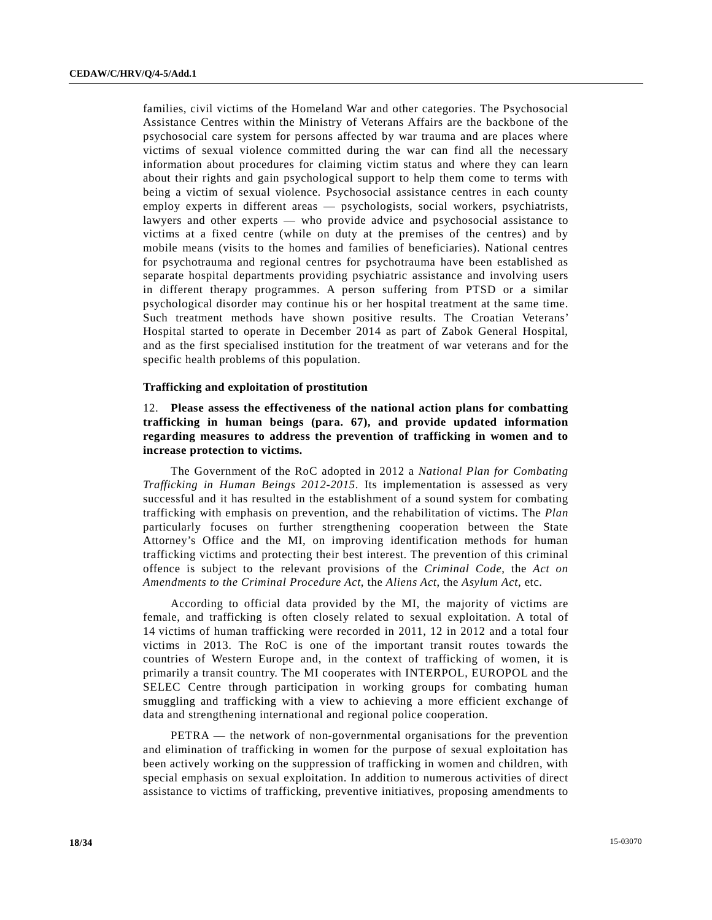families, civil victims of the Homeland War and other categories. The Psychosocial Assistance Centres within the Ministry of Veterans Affairs are the backbone of the psychosocial care system for persons affected by war trauma and are places where victims of sexual violence committed during the war can find all the necessary information about procedures for claiming victim status and where they can learn about their rights and gain psychological support to help them come to terms with being a victim of sexual violence. Psychosocial assistance centres in each county employ experts in different areas — psychologists, social workers, psychiatrists, lawyers and other experts — who provide advice and psychosocial assistance to victims at a fixed centre (while on duty at the premises of the centres) and by mobile means (visits to the homes and families of beneficiaries). National centres for psychotrauma and regional centres for psychotrauma have been established as separate hospital departments providing psychiatric assistance and involving users in different therapy programmes. A person suffering from PTSD or a similar psychological disorder may continue his or her hospital treatment at the same time. Such treatment methods have shown positive results. The Croatian Veterans' Hospital started to operate in December 2014 as part of Zabok General Hospital, and as the first specialised institution for the treatment of war veterans and for the specific health problems of this population.

#### **Trafficking and exploitation of prostitution**

## 12. **Please assess the effectiveness of the national action plans for combatting trafficking in human beings (para. 67), and provide updated information regarding measures to address the prevention of trafficking in women and to increase protection to victims.**

 The Government of the RoC adopted in 2012 a *National Plan for Combating Trafficking in Human Beings 2012-2015*. Its implementation is assessed as very successful and it has resulted in the establishment of a sound system for combating trafficking with emphasis on prevention, and the rehabilitation of victims. The *Plan* particularly focuses on further strengthening cooperation between the State Attorney's Office and the MI, on improving identification methods for human trafficking victims and protecting their best interest. The prevention of this criminal offence is subject to the relevant provisions of the *Criminal Code*, the *Act on Amendments to the Criminal Procedure Act*, the *Aliens Act*, the *Asylum Act*, etc.

 According to official data provided by the MI, the majority of victims are female, and trafficking is often closely related to sexual exploitation. A total of 14 victims of human trafficking were recorded in 2011, 12 in 2012 and a total four victims in 2013. The RoC is one of the important transit routes towards the countries of Western Europe and, in the context of trafficking of women, it is primarily a transit country. The MI cooperates with INTERPOL, EUROPOL and the SELEC Centre through participation in working groups for combating human smuggling and trafficking with a view to achieving a more efficient exchange of data and strengthening international and regional police cooperation.

 PETRA — the network of non-governmental organisations for the prevention and elimination of trafficking in women for the purpose of sexual exploitation has been actively working on the suppression of trafficking in women and children, with special emphasis on sexual exploitation. In addition to numerous activities of direct assistance to victims of trafficking, preventive initiatives, proposing amendments to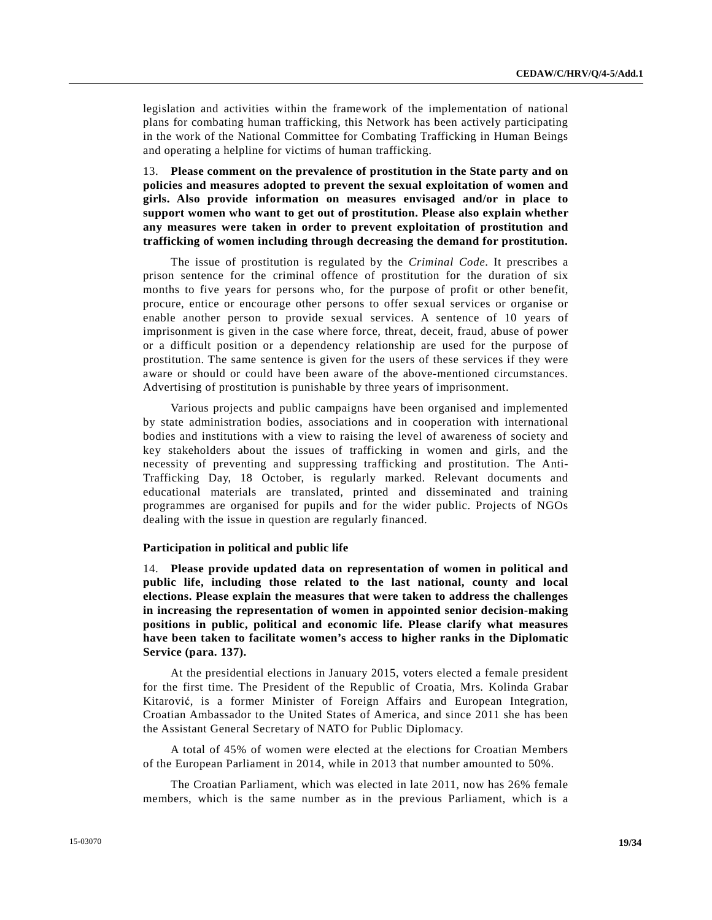legislation and activities within the framework of the implementation of national plans for combating human trafficking, this Network has been actively participating in the work of the National Committee for Combating Trafficking in Human Beings and operating a helpline for victims of human trafficking.

13. **Please comment on the prevalence of prostitution in the State party and on policies and measures adopted to prevent the sexual exploitation of women and girls. Also provide information on measures envisaged and/or in place to support women who want to get out of prostitution. Please also explain whether any measures were taken in order to prevent exploitation of prostitution and trafficking of women including through decreasing the demand for prostitution.** 

 The issue of prostitution is regulated by the *Criminal Code*. It prescribes a prison sentence for the criminal offence of prostitution for the duration of six months to five years for persons who, for the purpose of profit or other benefit, procure, entice or encourage other persons to offer sexual services or organise or enable another person to provide sexual services. A sentence of 10 years of imprisonment is given in the case where force, threat, deceit, fraud, abuse of power or a difficult position or a dependency relationship are used for the purpose of prostitution. The same sentence is given for the users of these services if they were aware or should or could have been aware of the above-mentioned circumstances. Advertising of prostitution is punishable by three years of imprisonment.

 Various projects and public campaigns have been organised and implemented by state administration bodies, associations and in cooperation with international bodies and institutions with a view to raising the level of awareness of society and key stakeholders about the issues of trafficking in women and girls, and the necessity of preventing and suppressing trafficking and prostitution. The Anti-Trafficking Day, 18 October, is regularly marked. Relevant documents and educational materials are translated, printed and disseminated and training programmes are organised for pupils and for the wider public. Projects of NGOs dealing with the issue in question are regularly financed.

#### **Participation in political and public life**

14. **Please provide updated data on representation of women in political and public life, including those related to the last national, county and local elections. Please explain the measures that were taken to address the challenges in increasing the representation of women in appointed senior decision-making positions in public, political and economic life. Please clarify what measures have been taken to facilitate women's access to higher ranks in the Diplomatic Service (para. 137).** 

 At the presidential elections in January 2015, voters elected a female president for the first time. The President of the Republic of Croatia, Mrs. Kolinda Grabar Kitarović, is a former Minister of Foreign Affairs and European Integration, Croatian Ambassador to the United States of America, and since 2011 she has been the Assistant General Secretary of NATO for Public Diplomacy.

 A total of 45% of women were elected at the elections for Croatian Members of the European Parliament in 2014, while in 2013 that number amounted to 50%.

 The Croatian Parliament, which was elected in late 2011, now has 26% female members, which is the same number as in the previous Parliament, which is a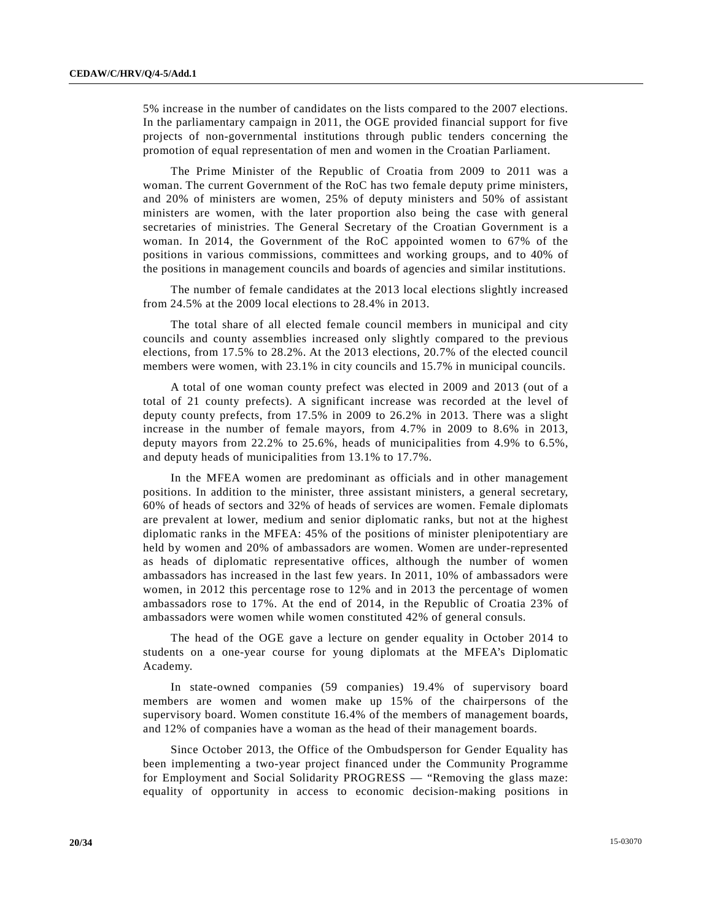5% increase in the number of candidates on the lists compared to the 2007 elections. In the parliamentary campaign in 2011, the OGE provided financial support for five projects of non-governmental institutions through public tenders concerning the promotion of equal representation of men and women in the Croatian Parliament.

 The Prime Minister of the Republic of Croatia from 2009 to 2011 was a woman. The current Government of the RoC has two female deputy prime ministers, and 20% of ministers are women, 25% of deputy ministers and 50% of assistant ministers are women, with the later proportion also being the case with general secretaries of ministries. The General Secretary of the Croatian Government is a woman. In 2014, the Government of the RoC appointed women to 67% of the positions in various commissions, committees and working groups, and to 40% of the positions in management councils and boards of agencies and similar institutions.

 The number of female candidates at the 2013 local elections slightly increased from 24.5% at the 2009 local elections to 28.4% in 2013.

 The total share of all elected female council members in municipal and city councils and county assemblies increased only slightly compared to the previous elections, from 17.5% to 28.2%. At the 2013 elections, 20.7% of the elected council members were women, with 23.1% in city councils and 15.7% in municipal councils.

 A total of one woman county prefect was elected in 2009 and 2013 (out of a total of 21 county prefects). A significant increase was recorded at the level of deputy county prefects, from 17.5% in 2009 to 26.2% in 2013. There was a slight increase in the number of female mayors, from 4.7% in 2009 to 8.6% in 2013, deputy mayors from 22.2% to 25.6%, heads of municipalities from 4.9% to 6.5%, and deputy heads of municipalities from 13.1% to 17.7%.

 In the MFEA women are predominant as officials and in other management positions. In addition to the minister, three assistant ministers, a general secretary, 60% of heads of sectors and 32% of heads of services are women. Female diplomats are prevalent at lower, medium and senior diplomatic ranks, but not at the highest diplomatic ranks in the MFEA: 45% of the positions of minister plenipotentiary are held by women and 20% of ambassadors are women. Women are under-represented as heads of diplomatic representative offices, although the number of women ambassadors has increased in the last few years. In 2011, 10% of ambassadors were women, in 2012 this percentage rose to 12% and in 2013 the percentage of women ambassadors rose to 17%. At the end of 2014, in the Republic of Croatia 23% of ambassadors were women while women constituted 42% of general consuls.

 The head of the OGE gave a lecture on gender equality in October 2014 to students on a one-year course for young diplomats at the MFEA's Diplomatic Academy.

 In state-owned companies (59 companies) 19.4% of supervisory board members are women and women make up 15% of the chairpersons of the supervisory board. Women constitute 16.4% of the members of management boards, and 12% of companies have a woman as the head of their management boards.

 Since October 2013, the Office of the Ombudsperson for Gender Equality has been implementing a two-year project financed under the Community Programme for Employment and Social Solidarity PROGRESS — "Removing the glass maze: equality of opportunity in access to economic decision-making positions in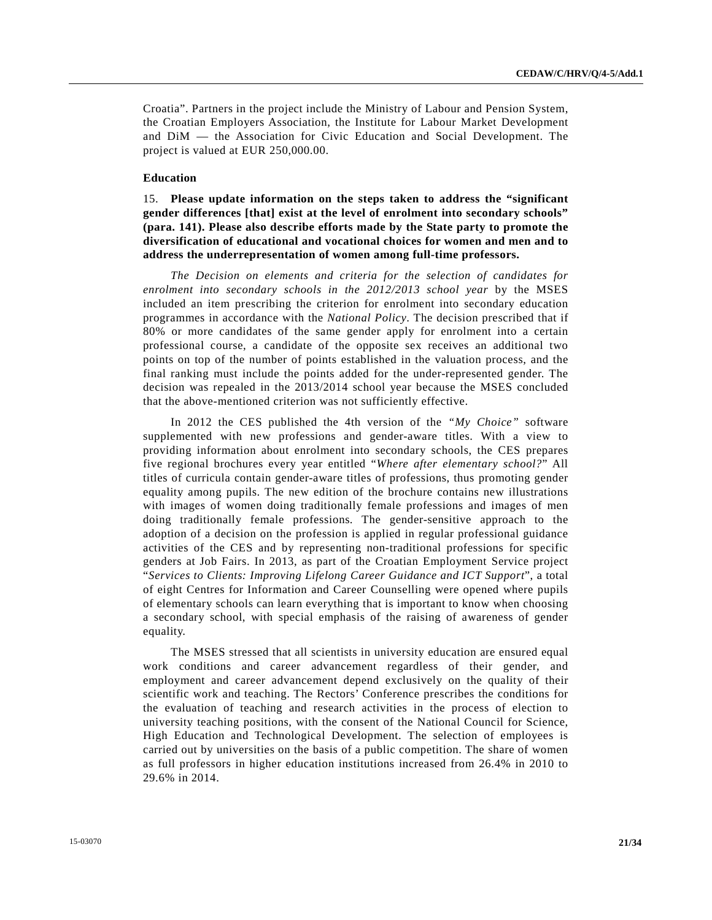Croatia". Partners in the project include the Ministry of Labour and Pension System, the Croatian Employers Association, the Institute for Labour Market Development and DiM — the Association for Civic Education and Social Development. The project is valued at EUR 250,000.00.

#### **Education**

15. **Please update information on the steps taken to address the "significant gender differences [that] exist at the level of enrolment into secondary schools" (para. 141). Please also describe efforts made by the State party to promote the diversification of educational and vocational choices for women and men and to address the underrepresentation of women among full-time professors.** 

*The Decision on elements and criteria for the selection of candidates for enrolment into secondary schools in the 2012/2013 school year* by the MSES included an item prescribing the criterion for enrolment into secondary education programmes in accordance with the *National Policy*. The decision prescribed that if 80% or more candidates of the same gender apply for enrolment into a certain professional course, a candidate of the opposite sex receives an additional two points on top of the number of points established in the valuation process, and the final ranking must include the points added for the under-represented gender. The decision was repealed in the 2013/2014 school year because the MSES concluded that the above-mentioned criterion was not sufficiently effective.

 In 2012 the CES published the 4th version of the *"My Choice"* software supplemented with new professions and gender-aware titles. With a view to providing information about enrolment into secondary schools, the CES prepares five regional brochures every year entitled "*Where after elementary school?*" All titles of curricula contain gender-aware titles of professions, thus promoting gender equality among pupils. The new edition of the brochure contains new illustrations with images of women doing traditionally female professions and images of men doing traditionally female professions. The gender-sensitive approach to the adoption of a decision on the profession is applied in regular professional guidance activities of the CES and by representing non-traditional professions for specific genders at Job Fairs. In 2013, as part of the Croatian Employment Service project "*Services to Clients: Improving Lifelong Career Guidance and ICT Support*", a total of eight Centres for Information and Career Counselling were opened where pupils of elementary schools can learn everything that is important to know when choosing a secondary school, with special emphasis of the raising of awareness of gender equality.

 The MSES stressed that all scientists in university education are ensured equal work conditions and career advancement regardless of their gender, and employment and career advancement depend exclusively on the quality of their scientific work and teaching. The Rectors' Conference prescribes the conditions for the evaluation of teaching and research activities in the process of election to university teaching positions, with the consent of the National Council for Science, High Education and Technological Development. The selection of employees is carried out by universities on the basis of a public competition. The share of women as full professors in higher education institutions increased from 26.4% in 2010 to 29.6% in 2014.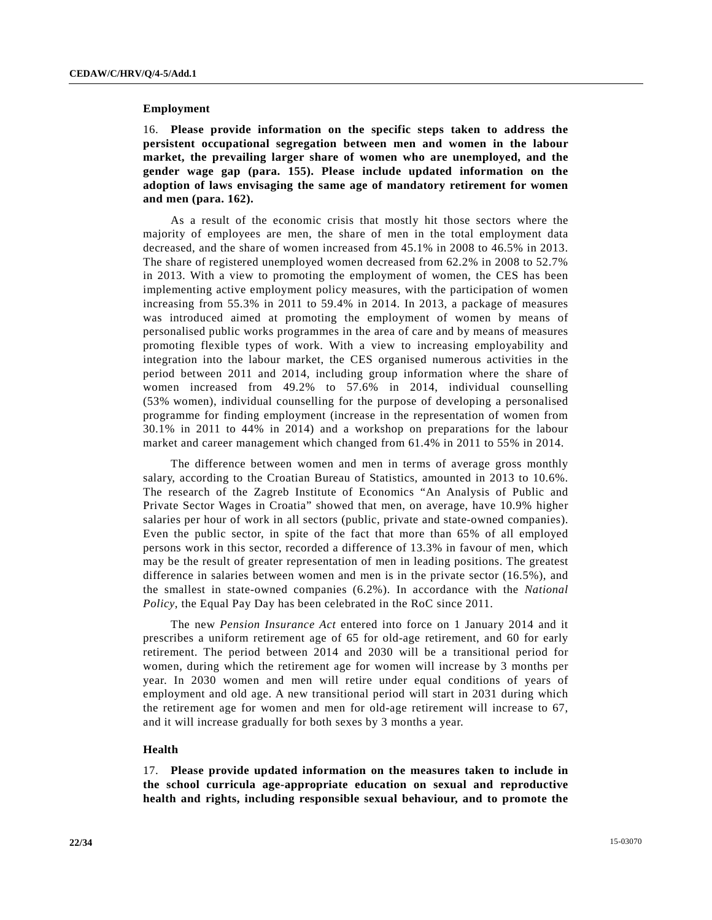#### **Employment**

16. **Please provide information on the specific steps taken to address the persistent occupational segregation between men and women in the labour market, the prevailing larger share of women who are unemployed, and the gender wage gap (para. 155). Please include updated information on the adoption of laws envisaging the same age of mandatory retirement for women and men (para. 162).** 

 As a result of the economic crisis that mostly hit those sectors where the majority of employees are men, the share of men in the total employment data decreased, and the share of women increased from 45.1% in 2008 to 46.5% in 2013. The share of registered unemployed women decreased from 62.2% in 2008 to 52.7% in 2013. With a view to promoting the employment of women, the CES has been implementing active employment policy measures, with the participation of women increasing from 55.3% in 2011 to 59.4% in 2014. In 2013, a package of measures was introduced aimed at promoting the employment of women by means of personalised public works programmes in the area of care and by means of measures promoting flexible types of work. With a view to increasing employability and integration into the labour market, the CES organised numerous activities in the period between 2011 and 2014, including group information where the share of women increased from 49.2% to 57.6% in 2014, individual counselling (53% women), individual counselling for the purpose of developing a personalised programme for finding employment (increase in the representation of women from 30.1% in 2011 to 44% in 2014) and a workshop on preparations for the labour market and career management which changed from 61.4% in 2011 to 55% in 2014.

 The difference between women and men in terms of average gross monthly salary, according to the Croatian Bureau of Statistics, amounted in 2013 to 10.6%. The research of the Zagreb Institute of Economics "An Analysis of Public and Private Sector Wages in Croatia" showed that men, on average, have 10.9% higher salaries per hour of work in all sectors (public, private and state-owned companies). Even the public sector, in spite of the fact that more than 65% of all employed persons work in this sector, recorded a difference of 13.3% in favour of men, which may be the result of greater representation of men in leading positions. The greatest difference in salaries between women and men is in the private sector (16.5%), and the smallest in state-owned companies (6.2%). In accordance with the *National Policy*, the Equal Pay Day has been celebrated in the RoC since 2011.

 The new *Pension Insurance Act* entered into force on 1 January 2014 and it prescribes a uniform retirement age of 65 for old-age retirement, and 60 for early retirement. The period between 2014 and 2030 will be a transitional period for women, during which the retirement age for women will increase by 3 months per year. In 2030 women and men will retire under equal conditions of years of employment and old age. A new transitional period will start in 2031 during which the retirement age for women and men for old-age retirement will increase to 67, and it will increase gradually for both sexes by 3 months a year.

#### **Health**

17. **Please provide updated information on the measures taken to include in the school curricula age-appropriate education on sexual and reproductive health and rights, including responsible sexual behaviour, and to promote the**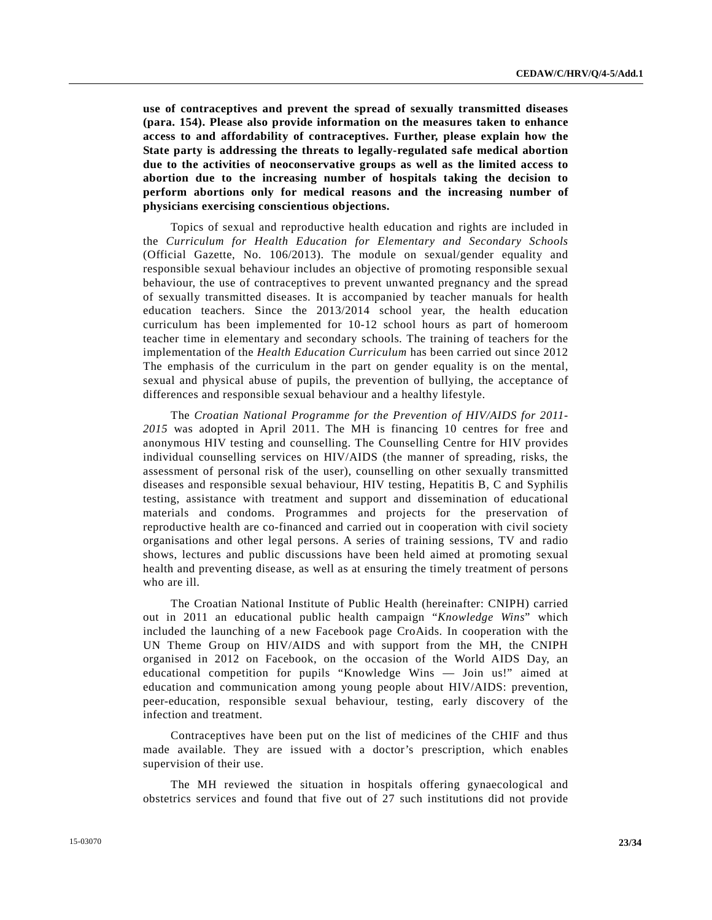**use of contraceptives and prevent the spread of sexually transmitted diseases (para. 154). Please also provide information on the measures taken to enhance access to and affordability of contraceptives. Further, please explain how the State party is addressing the threats to legally-regulated safe medical abortion due to the activities of neoconservative groups as well as the limited access to abortion due to the increasing number of hospitals taking the decision to perform abortions only for medical reasons and the increasing number of physicians exercising conscientious objections.** 

 Topics of sexual and reproductive health education and rights are included in the *Curriculum for Health Education for Elementary and Secondary Schools* (Official Gazette, No. 106/2013). The module on sexual/gender equality and responsible sexual behaviour includes an objective of promoting responsible sexual behaviour, the use of contraceptives to prevent unwanted pregnancy and the spread of sexually transmitted diseases. It is accompanied by teacher manuals for health education teachers. Since the 2013/2014 school year, the health education curriculum has been implemented for 10-12 school hours as part of homeroom teacher time in elementary and secondary schools. The training of teachers for the implementation of the *Health Education Curriculum* has been carried out since 2012 The emphasis of the curriculum in the part on gender equality is on the mental, sexual and physical abuse of pupils, the prevention of bullying, the acceptance of differences and responsible sexual behaviour and a healthy lifestyle.

 The *Croatian National Programme for the Prevention of HIV/AIDS for 2011- 2015* was adopted in April 2011. The MH is financing 10 centres for free and anonymous HIV testing and counselling. The Counselling Centre for HIV provides individual counselling services on HIV/AIDS (the manner of spreading, risks, the assessment of personal risk of the user), counselling on other sexually transmitted diseases and responsible sexual behaviour, HIV testing, Hepatitis B, C and Syphilis testing, assistance with treatment and support and dissemination of educational materials and condoms. Programmes and projects for the preservation of reproductive health are co-financed and carried out in cooperation with civil society organisations and other legal persons. A series of training sessions, TV and radio shows, lectures and public discussions have been held aimed at promoting sexual health and preventing disease, as well as at ensuring the timely treatment of persons who are ill.

 The Croatian National Institute of Public Health (hereinafter: CNIPH) carried out in 2011 an educational public health campaign "*Knowledge Wins*" which included the launching of a new Facebook page CroAids. In cooperation with the UN Theme Group on HIV/AIDS and with support from the MH, the CNIPH organised in 2012 on Facebook, on the occasion of the World AIDS Day, an educational competition for pupils "Knowledge Wins — Join us!" aimed at education and communication among young people about HIV/AIDS: prevention, peer-education, responsible sexual behaviour, testing, early discovery of the infection and treatment.

 Contraceptives have been put on the list of medicines of the CHIF and thus made available. They are issued with a doctor's prescription, which enables supervision of their use.

 The MH reviewed the situation in hospitals offering gynaecological and obstetrics services and found that five out of 27 such institutions did not provide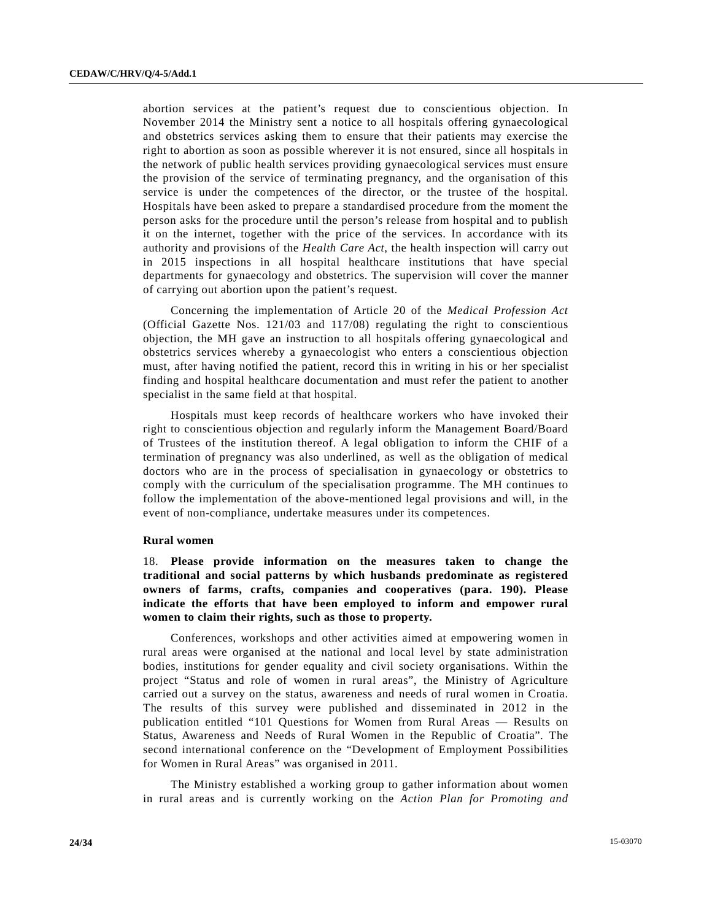abortion services at the patient's request due to conscientious objection. In November 2014 the Ministry sent a notice to all hospitals offering gynaecological and obstetrics services asking them to ensure that their patients may exercise the right to abortion as soon as possible wherever it is not ensured, since all hospitals in the network of public health services providing gynaecological services must ensure the provision of the service of terminating pregnancy, and the organisation of this service is under the competences of the director, or the trustee of the hospital. Hospitals have been asked to prepare a standardised procedure from the moment the person asks for the procedure until the person's release from hospital and to publish it on the internet, together with the price of the services. In accordance with its authority and provisions of the *Health Care Act*, the health inspection will carry out in 2015 inspections in all hospital healthcare institutions that have special departments for gynaecology and obstetrics. The supervision will cover the manner of carrying out abortion upon the patient's request.

 Concerning the implementation of Article 20 of the *Medical Profession Act* (Official Gazette Nos. 121/03 and 117/08) regulating the right to conscientious objection, the MH gave an instruction to all hospitals offering gynaecological and obstetrics services whereby a gynaecologist who enters a conscientious objection must, after having notified the patient, record this in writing in his or her specialist finding and hospital healthcare documentation and must refer the patient to another specialist in the same field at that hospital.

 Hospitals must keep records of healthcare workers who have invoked their right to conscientious objection and regularly inform the Management Board/Board of Trustees of the institution thereof. A legal obligation to inform the CHIF of a termination of pregnancy was also underlined, as well as the obligation of medical doctors who are in the process of specialisation in gynaecology or obstetrics to comply with the curriculum of the specialisation programme. The MH continues to follow the implementation of the above-mentioned legal provisions and will, in the event of non-compliance, undertake measures under its competences.

#### **Rural women**

18. **Please provide information on the measures taken to change the traditional and social patterns by which husbands predominate as registered owners of farms, crafts, companies and cooperatives (para. 190). Please indicate the efforts that have been employed to inform and empower rural women to claim their rights, such as those to property.**

 Conferences, workshops and other activities aimed at empowering women in rural areas were organised at the national and local level by state administration bodies, institutions for gender equality and civil society organisations. Within the project "Status and role of women in rural areas", the Ministry of Agriculture carried out a survey on the status, awareness and needs of rural women in Croatia. The results of this survey were published and disseminated in 2012 in the publication entitled "101 Questions for Women from Rural Areas — Results on Status, Awareness and Needs of Rural Women in the Republic of Croatia". The second international conference on the "Development of Employment Possibilities for Women in Rural Areas" was organised in 2011.

 The Ministry established a working group to gather information about women in rural areas and is currently working on the *Action Plan for Promoting and*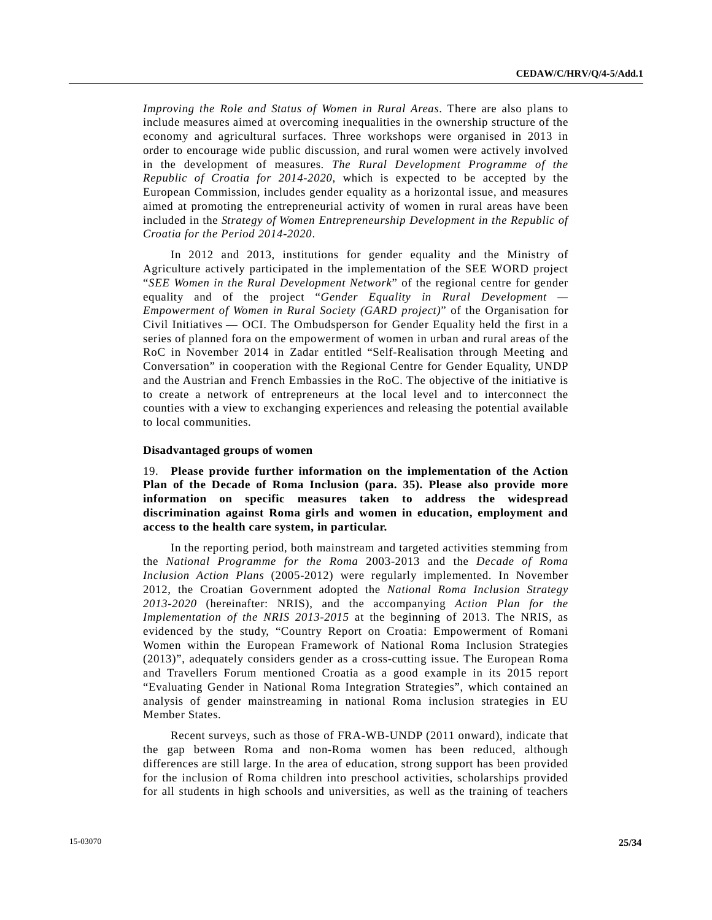*Improving the Role and Status of Women in Rural Areas*. There are also plans to include measures aimed at overcoming inequalities in the ownership structure of the economy and agricultural surfaces. Three workshops were organised in 2013 in order to encourage wide public discussion, and rural women were actively involved in the development of measures. *The Rural Development Programme of the Republic of Croatia for 2014-2020*, which is expected to be accepted by the European Commission, includes gender equality as a horizontal issue, and measures aimed at promoting the entrepreneurial activity of women in rural areas have been included in the *Strategy of Women Entrepreneurship Development in the Republic of Croatia for the Period 2014-2020*.

 In 2012 and 2013, institutions for gender equality and the Ministry of Agriculture actively participated in the implementation of the SEE WORD project "*SEE Women in the Rural Development Network*" of the regional centre for gender equality and of the project "*Gender Equality in Rural Development — Empowerment of Women in Rural Society (GARD project)*" of the Organisation for Civil Initiatives — OCI. The Ombudsperson for Gender Equality held the first in a series of planned fora on the empowerment of women in urban and rural areas of the RoC in November 2014 in Zadar entitled "Self-Realisation through Meeting and Conversation" in cooperation with the Regional Centre for Gender Equality, UNDP and the Austrian and French Embassies in the RoC. The objective of the initiative is to create a network of entrepreneurs at the local level and to interconnect the counties with a view to exchanging experiences and releasing the potential available to local communities.

#### **Disadvantaged groups of women**

19. **Please provide further information on the implementation of the Action Plan of the Decade of Roma Inclusion (para. 35). Please also provide more information on specific measures taken to address the widespread discrimination against Roma girls and women in education, employment and access to the health care system, in particular.** 

 In the reporting period, both mainstream and targeted activities stemming from the *National Programme for the Roma* 2003-2013 and the *Decade of Roma Inclusion Action Plans* (2005-2012) were regularly implemented. In November 2012, the Croatian Government adopted the *National Roma Inclusion Strategy 2013-2020* (hereinafter: NRIS), and the accompanying *Action Plan for the Implementation of the NRIS 2013-2015* at the beginning of 2013. The NRIS, as evidenced by the study, "Country Report on Croatia: Empowerment of Romani Women within the European Framework of National Roma Inclusion Strategies (2013)", adequately considers gender as a cross-cutting issue. The European Roma and Travellers Forum mentioned Croatia as a good example in its 2015 report "Evaluating Gender in National Roma Integration Strategies", which contained an analysis of gender mainstreaming in national Roma inclusion strategies in EU Member States.

 Recent surveys, such as those of FRA-WB-UNDP (2011 onward), indicate that the gap between Roma and non-Roma women has been reduced, although differences are still large. In the area of education, strong support has been provided for the inclusion of Roma children into preschool activities, scholarships provided for all students in high schools and universities, as well as the training of teachers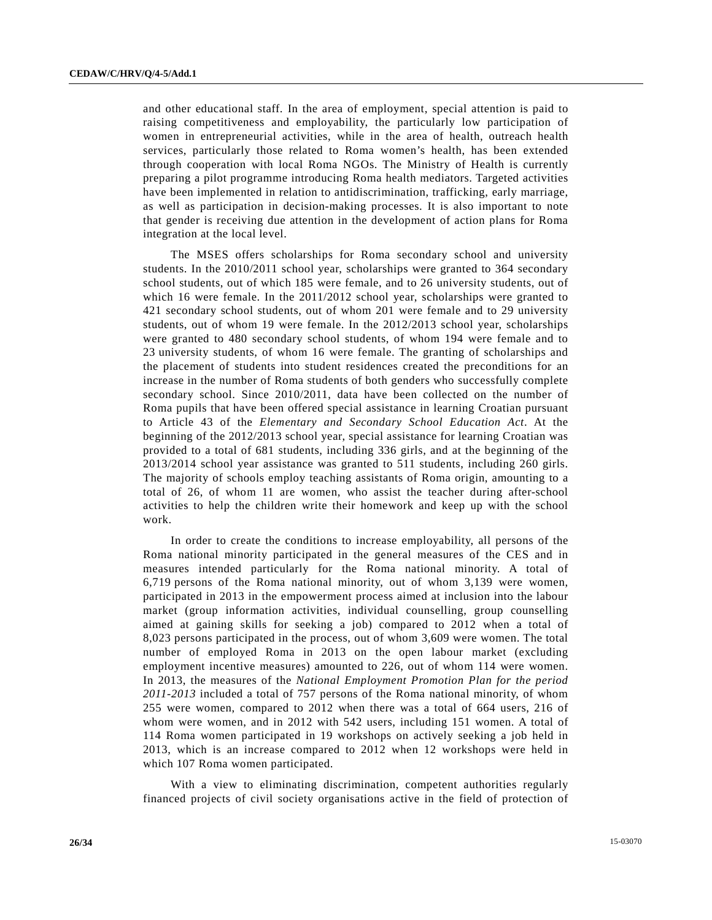and other educational staff. In the area of employment, special attention is paid to raising competitiveness and employability, the particularly low participation of women in entrepreneurial activities, while in the area of health, outreach health services, particularly those related to Roma women's health, has been extended through cooperation with local Roma NGOs. The Ministry of Health is currently preparing a pilot programme introducing Roma health mediators. Targeted activities have been implemented in relation to antidiscrimination, trafficking, early marriage, as well as participation in decision-making processes. It is also important to note that gender is receiving due attention in the development of action plans for Roma integration at the local level.

 The MSES offers scholarships for Roma secondary school and university students. In the 2010/2011 school year, scholarships were granted to 364 secondary school students, out of which 185 were female, and to 26 university students, out of which 16 were female. In the 2011/2012 school year, scholarships were granted to 421 secondary school students, out of whom 201 were female and to 29 university students, out of whom 19 were female. In the 2012/2013 school year, scholarships were granted to 480 secondary school students, of whom 194 were female and to 23 university students, of whom 16 were female. The granting of scholarships and the placement of students into student residences created the preconditions for an increase in the number of Roma students of both genders who successfully complete secondary school. Since 2010/2011, data have been collected on the number of Roma pupils that have been offered special assistance in learning Croatian pursuant to Article 43 of the *Elementary and Secondary School Education Act*. At the beginning of the 2012/2013 school year, special assistance for learning Croatian was provided to a total of 681 students, including 336 girls, and at the beginning of the 2013/2014 school year assistance was granted to 511 students, including 260 girls. The majority of schools employ teaching assistants of Roma origin, amounting to a total of 26, of whom 11 are women, who assist the teacher during after-school activities to help the children write their homework and keep up with the school work.

 In order to create the conditions to increase employability, all persons of the Roma national minority participated in the general measures of the CES and in measures intended particularly for the Roma national minority. A total of 6,719 persons of the Roma national minority, out of whom 3,139 were women, participated in 2013 in the empowerment process aimed at inclusion into the labour market (group information activities, individual counselling, group counselling aimed at gaining skills for seeking a job) compared to 2012 when a total of 8,023 persons participated in the process, out of whom 3,609 were women. The total number of employed Roma in 2013 on the open labour market (excluding employment incentive measures) amounted to 226, out of whom 114 were women. In 2013, the measures of the *National Employment Promotion Plan for the period 2011-2013* included a total of 757 persons of the Roma national minority, of whom 255 were women, compared to 2012 when there was a total of 664 users, 216 of whom were women, and in 2012 with 542 users, including 151 women. A total of 114 Roma women participated in 19 workshops on actively seeking a job held in 2013, which is an increase compared to 2012 when 12 workshops were held in which 107 Roma women participated.

 With a view to eliminating discrimination, competent authorities regularly financed projects of civil society organisations active in the field of protection of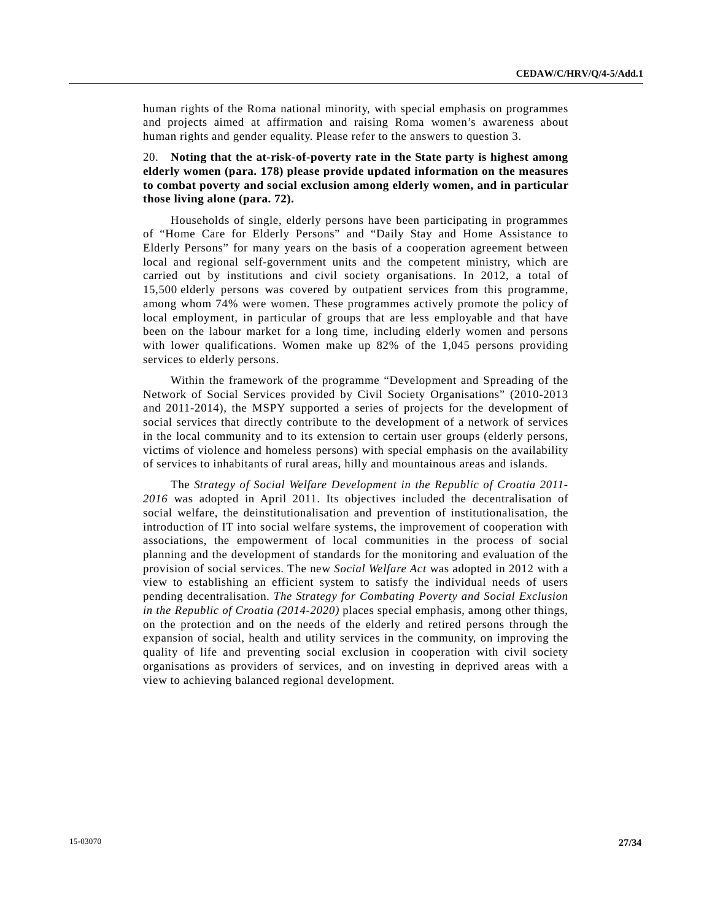human rights of the Roma national minority, with special emphasis on programmes and projects aimed at affirmation and raising Roma women's awareness about human rights and gender equality. Please refer to the answers to question 3.

## 20. **Noting that the at-risk-of-poverty rate in the State party is highest among elderly women (para. 178) please provide updated information on the measures to combat poverty and social exclusion among elderly women, and in particular those living alone (para. 72).**

 Households of single, elderly persons have been participating in programmes of "Home Care for Elderly Persons" and "Daily Stay and Home Assistance to Elderly Persons" for many years on the basis of a cooperation agreement between local and regional self-government units and the competent ministry, which are carried out by institutions and civil society organisations. In 2012, a total of 15,500 elderly persons was covered by outpatient services from this programme, among whom 74% were women. These programmes actively promote the policy of local employment, in particular of groups that are less employable and that have been on the labour market for a long time, including elderly women and persons with lower qualifications. Women make up 82% of the 1,045 persons providing services to elderly persons.

 Within the framework of the programme "Development and Spreading of the Network of Social Services provided by Civil Society Organisations" (2010-2013 and 2011-2014), the MSPY supported a series of projects for the development of social services that directly contribute to the development of a network of services in the local community and to its extension to certain user groups (elderly persons, victims of violence and homeless persons) with special emphasis on the availability of services to inhabitants of rural areas, hilly and mountainous areas and islands.

 The *Strategy of Social Welfare Development in the Republic of Croatia 2011- 2016* was adopted in April 2011. Its objectives included the decentralisation of social welfare, the deinstitutionalisation and prevention of institutionalisation, the introduction of IT into social welfare systems, the improvement of cooperation with associations, the empowerment of local communities in the process of social planning and the development of standards for the monitoring and evaluation of the provision of social services. The new *Social Welfare Act* was adopted in 2012 with a view to establishing an efficient system to satisfy the individual needs of users pending decentralisation. *The Strategy for Combating Poverty and Social Exclusion in the Republic of Croatia (2014-2020)* places special emphasis, among other things, on the protection and on the needs of the elderly and retired persons through the expansion of social, health and utility services in the community, on improving the quality of life and preventing social exclusion in cooperation with civil society organisations as providers of services, and on investing in deprived areas with a view to achieving balanced regional development.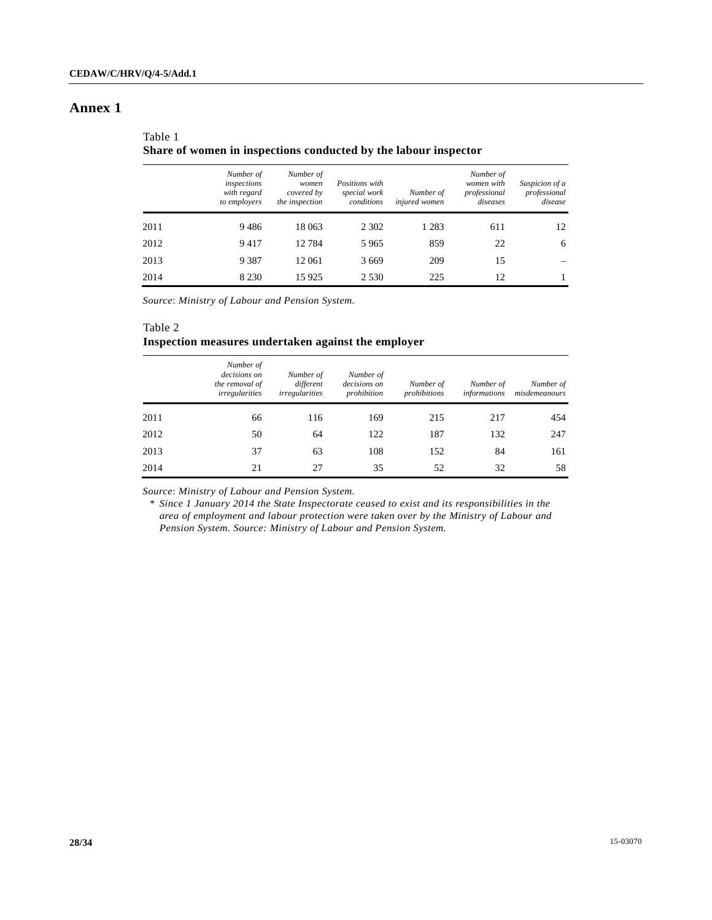## **Annex 1**

| Table 1                                                         |
|-----------------------------------------------------------------|
| Share of women in inspections conducted by the labour inspector |

|      | Number of<br>inspections<br>with regard<br>to employers | Number of<br>women<br>covered by<br>the inspection | Positions with<br>special work<br>conditions | Number of<br>injured women | Number of<br>women with<br>professional<br>diseases | Suspicion of a<br>professional<br>disease |
|------|---------------------------------------------------------|----------------------------------------------------|----------------------------------------------|----------------------------|-----------------------------------------------------|-------------------------------------------|
| 2011 | 9486                                                    | 18 063                                             | 2 3 0 2                                      | 1 2 8 3                    | 611                                                 | 12                                        |
| 2012 | 9417                                                    | 12784                                              | 5 9 6 5                                      | 859                        | 22                                                  | 6                                         |
| 2013 | 9 3 8 7                                                 | 12 061                                             | 3 6 6 9                                      | 209                        | 15                                                  |                                           |
| 2014 | 8 2 3 0                                                 | 15 9 25                                            | 2 5 3 0                                      | 225                        | 12                                                  |                                           |

*Source*: *Ministry of Labour and Pension System.* 

## Table 2 **Inspection measures undertaken against the employer**

|      | Number of<br>decisions on<br>the removal of<br><i>irregularities</i> | Number of<br>different<br><i>irregularities</i> | Number of<br>decisions on<br>prohibition | Number of<br>prohibitions | Number of<br><i>informations</i> | Number of<br>misdemeanours |
|------|----------------------------------------------------------------------|-------------------------------------------------|------------------------------------------|---------------------------|----------------------------------|----------------------------|
| 2011 | 66                                                                   | 116                                             | 169                                      | 215                       | 217                              | 454                        |
| 2012 | 50                                                                   | 64                                              | 122                                      | 187                       | 132                              | 247                        |
| 2013 | 37                                                                   | 63                                              | 108                                      | 152                       | 84                               | 161                        |
| 2014 | 21                                                                   | 27                                              | 35                                       | 52                        | 32                               | 58                         |

*Source*: *Ministry of Labour and Pension System.*

 \* *Since 1 January 2014 the State Inspectorate ceased to exist and its responsibilities in the area of employment and labour protection were taken over by the Ministry of Labour and Pension System. Source: Ministry of Labour and Pension System.*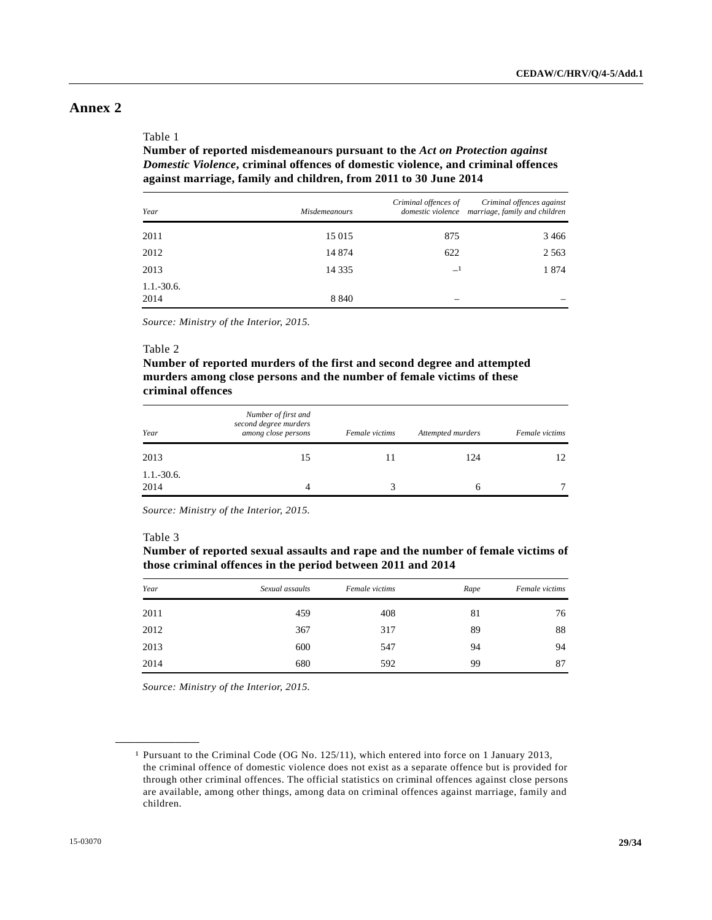## **Annex 2**

#### Table 1

 **Number of reported misdemeanours pursuant to the** *Act on Protection against Domestic Violence***, criminal offences of domestic violence, and criminal offences against marriage, family and children, from 2011 to 30 June 2014** 

| Year                 | Misdemeanours | Criminal offences of | Criminal offences against<br>domestic violence marriage, family and children |
|----------------------|---------------|----------------------|------------------------------------------------------------------------------|
| 2011                 | 15 015        | 875                  | 3466                                                                         |
| 2012                 | 14 874        | 622                  | 2 5 6 3                                                                      |
| 2013                 | 14 3 35       | $-1$                 | 1874                                                                         |
| $1.1.-30.6.$<br>2014 | 8 8 4 0       |                      |                                                                              |

*Source: Ministry of the Interior, 2015.*

#### Table 2

## **Number of reported murders of the first and second degree and attempted murders among close persons and the number of female victims of these criminal offences**

| Year                   | Number of first and<br>second degree murders<br>among close persons | Female victims | Attempted murders | Female victims |
|------------------------|---------------------------------------------------------------------|----------------|-------------------|----------------|
| 2013                   | 15                                                                  |                | 124               | 12.            |
| $1.1 - 30.6$ .<br>2014 |                                                                     |                |                   |                |

*Source: Ministry of the Interior, 2015.*

#### Table 3

**\_\_\_\_\_\_\_\_\_\_\_\_\_\_\_\_\_\_** 

 **Number of reported sexual assaults and rape and the number of female victims of those criminal offences in the period between 2011 and 2014** 

| Year | Sexual assaults | Female victims | Rape | Female victims |
|------|-----------------|----------------|------|----------------|
| 2011 | 459             | 408            | 81   | 76             |
| 2012 | 367             | 317            | 89   | 88             |
| 2013 | 600             | 547            | 94   | 94             |
| 2014 | 680             | 592            | 99   | 87             |

*Source: Ministry of the Interior, 2015.* 

<sup>1</sup> Pursuant to the Criminal Code (OG No. 125/11), which entered into force on 1 January 2013, the criminal offence of domestic violence does not exist as a separate offence but is provided for through other criminal offences. The official statistics on criminal offences against close persons are available, among other things, among data on criminal offences against marriage, family and children.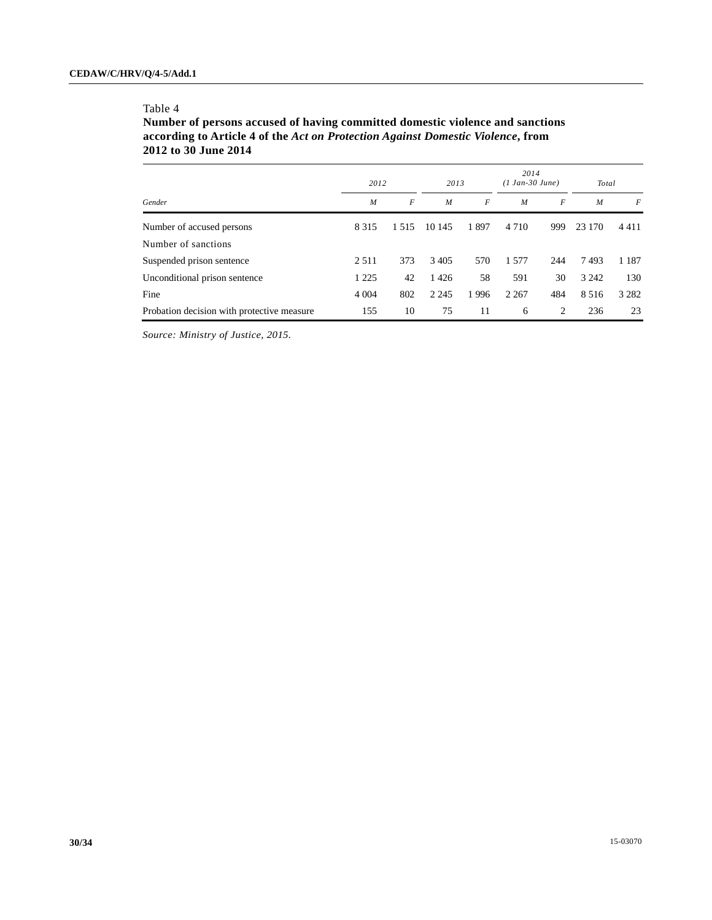### Table 4

 **Number of persons accused of having committed domestic violence and sanctions according to Article 4 of the** *Act on Protection Against Domestic Violence***, from 2012 to 30 June 2014** 

|                                            |                | 2012<br>2013     |                  | 2014<br>$(1 Jan-30 June)$ |                  | Total |                  |         |
|--------------------------------------------|----------------|------------------|------------------|---------------------------|------------------|-------|------------------|---------|
| Gender                                     | $\overline{M}$ | $\boldsymbol{F}$ | $\boldsymbol{M}$ | F                         | $\boldsymbol{M}$ | F     | $\boldsymbol{M}$ | F       |
| Number of accused persons                  | 8 3 1 5        | 1.515            | 10 145           | 1897                      | 4 7 1 0          | 999   | 23 170           | 4411    |
| Number of sanctions                        |                |                  |                  |                           |                  |       |                  |         |
| Suspended prison sentence                  | 2 5 1 1        | 373              | 3405             | 570                       | 1.577            | 244   | 7493             | 1 1 8 7 |
| Unconditional prison sentence              | 1 2 2 5        | 42               | 1426             | 58                        | 591              | 30    | 3 2 4 2          | 130     |
| Fine                                       | 4 0 0 4        | 802              | 2 2 4 5          | 1996                      | 2 2 6 7          | 484   | 8 5 1 6          | 3 2 8 2 |
| Probation decision with protective measure | 155            | 10               | 75               | 11                        | 6                | 2     | 236              | 23      |

*Source: Ministry of Justice, 2015.*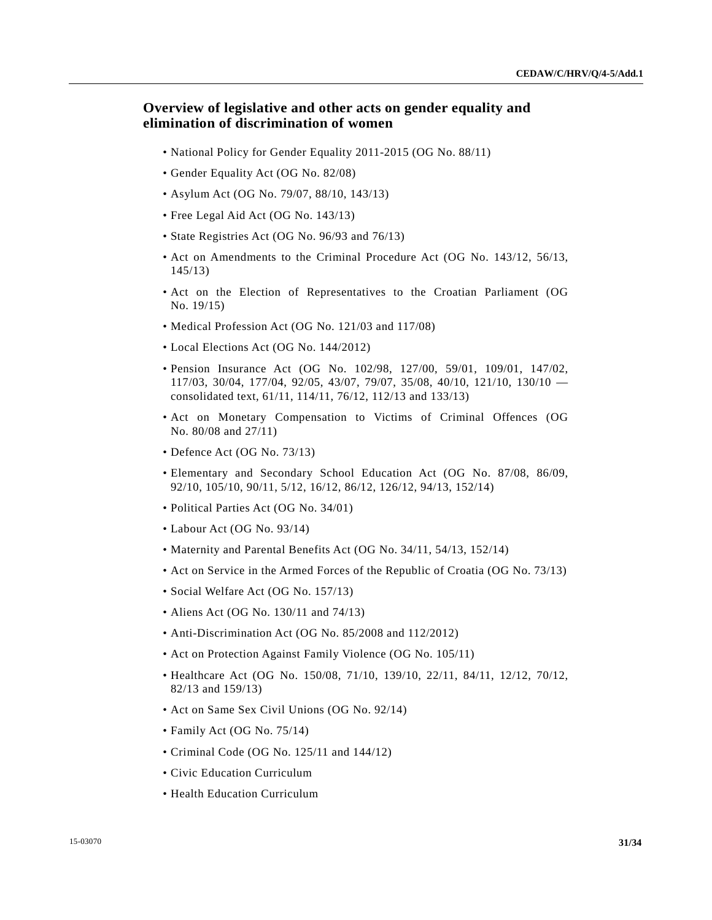## **Overview of legislative and other acts on gender equality and elimination of discrimination of women**

- National Policy for Gender Equality 2011-2015 (OG No. 88/11)
- Gender Equality Act (OG No. 82/08)
- Asylum Act (OG No. 79/07, 88/10, 143/13)
- Free Legal Aid Act (OG No. 143/13)
- State Registries Act (OG No. 96/93 and 76/13)
- Act on Amendments to the Criminal Procedure Act (OG No. 143/12, 56/13, 145/13)
- Act on the Election of Representatives to the Croatian Parliament (OG No. 19/15)
- Medical Profession Act (OG No. 121/03 and 117/08)
- Local Elections Act (OG No. 144/2012)
- Pension Insurance Act (OG No. 102/98, 127/00, 59/01, 109/01, 147/02, 117/03, 30/04, 177/04, 92/05, 43/07, 79/07, 35/08, 40/10, 121/10, 130/10 consolidated text, 61/11, 114/11, 76/12, 112/13 and 133/13)
- Act on Monetary Compensation to Victims of Criminal Offences (OG No. 80/08 and 27/11)
- Defence Act (OG No. 73/13)
- Elementary and Secondary School Education Act (OG No. 87/08, 86/09, 92/10, 105/10, 90/11, 5/12, 16/12, 86/12, 126/12, 94/13, 152/14)
- Political Parties Act (OG No. 34/01)
- Labour Act (OG No. 93/14)
- Maternity and Parental Benefits Act (OG No. 34/11, 54/13, 152/14)
- Act on Service in the Armed Forces of the Republic of Croatia (OG No. 73/13)
- Social Welfare Act (OG No. 157/13)
- Aliens Act (OG No. 130/11 and 74/13)
- Anti-Discrimination Act (OG No. 85/2008 and 112/2012)
- Act on Protection Against Family Violence (OG No. 105/11)
- Healthcare Act (OG No. 150/08, 71/10, 139/10, 22/11, 84/11, 12/12, 70/12, 82/13 and 159/13)
- Act on Same Sex Civil Unions (OG No. 92/14)
- Family Act (OG No. 75/14)
- Criminal Code (OG No. 125/11 and 144/12)
- Civic Education Curriculum
- Health Education Curriculum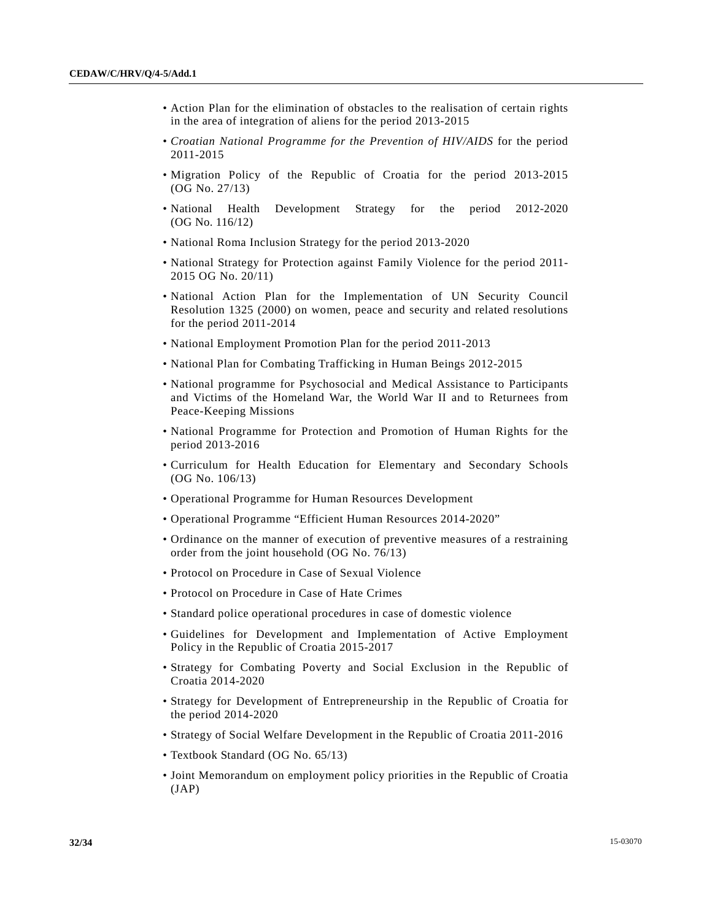- Action Plan for the elimination of obstacles to the realisation of certain rights in the area of integration of aliens for the period 2013-2015
- *Croatian National Programme for the Prevention of HIV/AIDS* for the period 2011-2015
- Migration Policy of the Republic of Croatia for the period 2013-2015 (OG No. 27/13)
- National Health Development Strategy for the period 2012-2020 (OG No. 116/12)
- National Roma Inclusion Strategy for the period 2013-2020
- National Strategy for Protection against Family Violence for the period 2011- 2015 OG No. 20/11)
- National Action Plan for the Implementation of UN Security Council Resolution 1325 (2000) on women, peace and security and related resolutions for the period 2011-2014
- National Employment Promotion Plan for the period 2011-2013
- National Plan for Combating Trafficking in Human Beings 2012-2015
- National programme for Psychosocial and Medical Assistance to Participants and Victims of the Homeland War, the World War II and to Returnees from Peace-Keeping Missions
- National Programme for Protection and Promotion of Human Rights for the period 2013-2016
- Curriculum for Health Education for Elementary and Secondary Schools (OG No. 106/13)
- Operational Programme for Human Resources Development
- Operational Programme "Efficient Human Resources 2014-2020"
- Ordinance on the manner of execution of preventive measures of a restraining order from the joint household (OG No. 76/13)
- Protocol on Procedure in Case of Sexual Violence
- Protocol on Procedure in Case of Hate Crimes
- Standard police operational procedures in case of domestic violence
- Guidelines for Development and Implementation of Active Employment Policy in the Republic of Croatia 2015-2017
- Strategy for Combating Poverty and Social Exclusion in the Republic of Croatia 2014-2020
- Strategy for Development of Entrepreneurship in the Republic of Croatia for the period 2014-2020
- Strategy of Social Welfare Development in the Republic of Croatia 2011-2016
- Textbook Standard (OG No. 65/13)
- Joint Memorandum on employment policy priorities in the Republic of Croatia  $(JAP)$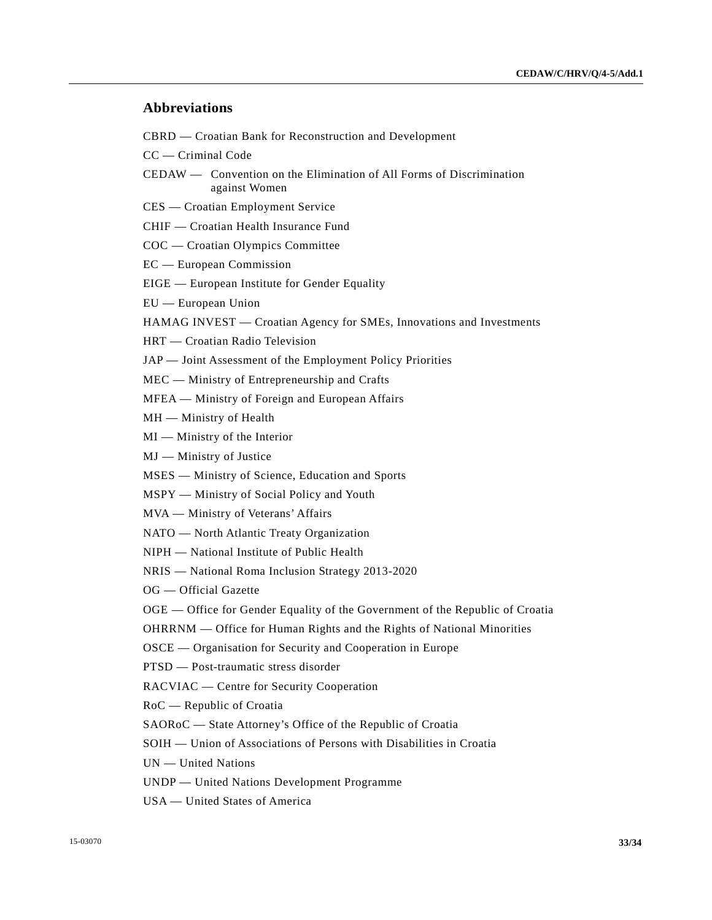## **Abbreviations**

CBRD — Croatian Bank for Reconstruction and Development

CC — Criminal Code

- CEDAW Convention on the Elimination of All Forms of Discrimination against Women
- CES Croatian Employment Service
- CHIF Croatian Health Insurance Fund
- COC Croatian Olympics Committee
- EC European Commission
- EIGE European Institute for Gender Equality
- EU European Union

HAMAG INVEST — Croatian Agency for SMEs, Innovations and Investments

- HRT Croatian Radio Television
- JAP Joint Assessment of the Employment Policy Priorities
- MEC Ministry of Entrepreneurship and Crafts
- MFEA Ministry of Foreign and European Affairs
- MH Ministry of Health
- MI Ministry of the Interior
- MJ Ministry of Justice
- MSES Ministry of Science, Education and Sports
- MSPY Ministry of Social Policy and Youth
- MVA Ministry of Veterans' Affairs
- NATO North Atlantic Treaty Organization
- NIPH National Institute of Public Health
- NRIS National Roma Inclusion Strategy 2013-2020
- OG Official Gazette
- OGE Office for Gender Equality of the Government of the Republic of Croatia
- OHRRNM Office for Human Rights and the Rights of National Minorities
- OSCE Organisation for Security and Cooperation in Europe
- PTSD Post-traumatic stress disorder
- RACVIAC Centre for Security Cooperation
- RoC Republic of Croatia
- SAORoC State Attorney's Office of the Republic of Croatia
- SOIH Union of Associations of Persons with Disabilities in Croatia
- UN United Nations
- UNDP United Nations Development Programme
- USA United States of America